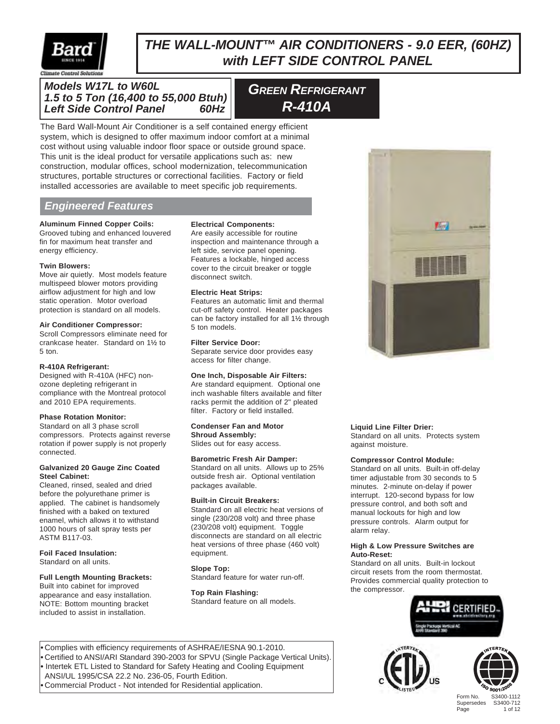

# *THE WALL-MOUNT™ AIR CONDITIONERS - 9.0 EER, (60HZ) with LEFT SIDE CONTROL PANEL*

### *Models W17L to W60L 1.5 to 5 Ton (16,400 to 55,000 Btuh) Left Side Control Panel 60Hz*

*GREEN REFRIGERANT R-410A*

The Bard Wall-Mount Air Conditioner is a self contained energy efficient system, which is designed to offer maximum indoor comfort at a minimal cost without using valuable indoor floor space or outside ground space. This unit is the ideal product for versatile applications such as: new construction, modular offices, school modernization, telecommunication structures, portable structures or correctional facilities. Factory or field installed accessories are available to meet specific job requirements.

# *Engineered Features*

**Aluminum Finned Copper Coils:** Grooved tubing and enhanced louvered fin for maximum heat transfer and energy efficiency.

#### **Twin Blowers:**

Move air quietly. Most models feature multispeed blower motors providing airflow adjustment for high and low static operation. Motor overload protection is standard on all models.

#### **Air Conditioner Compressor:**

Scroll Compressors eliminate need for crankcase heater. Standard on 1½ to 5 ton.

#### **R-410A Refrigerant:**

Designed with R-410A (HFC) nonozone depleting refrigerant in compliance with the Montreal protocol and 2010 EPA requirements.

#### **Phase Rotation Monitor:**

Standard on all 3 phase scroll compressors. Protects against reverse rotation if power supply is not properly connected.

#### **Galvanized 20 Gauge Zinc Coated Steel Cabinet:**

Cleaned, rinsed, sealed and dried before the polyurethane primer is applied. The cabinet is handsomely finished with a baked on textured enamel, which allows it to withstand 1000 hours of salt spray tests per ASTM B117-03.

#### **Foil Faced Insulation:** Standard on all units.

#### **Full Length Mounting Brackets:**

Built into cabinet for improved appearance and easy installation. NOTE: Bottom mounting bracket included to assist in installation.

#### **Electrical Components:**

Are easily accessible for routine inspection and maintenance through a left side, service panel opening. Features a lockable, hinged access cover to the circuit breaker or toggle disconnect switch.

#### **Electric Heat Strips:**

Features an automatic limit and thermal cut-off safety control. Heater packages can be factory installed for all 1½ through 5 ton models.

#### **Filter Service Door:**

Separate service door provides easy access for filter change.

#### **One Inch, Disposable Air Filters:**

Are standard equipment. Optional one inch washable filters available and filter racks permit the addition of 2" pleated filter. Factory or field installed.

#### **Condenser Fan and Motor Shroud Assembly:**

Slides out for easy access.

#### **Barometric Fresh Air Damper:**

Standard on all units. Allows up to 25% outside fresh air. Optional ventilation packages available.

#### **Built-in Circuit Breakers:**

Standard on all electric heat versions of single (230/208 volt) and three phase (230/208 volt) equipment. Toggle disconnects are standard on all electric heat versions of three phase (460 volt) equipment.

#### **Slope Top:**

Standard feature for water run-off.

**Top Rain Flashing:** Standard feature on all models.



#### **Liquid Line Filter Drier:**

Standard on all units. Protects system against moisture.

#### **Compressor Control Module:**

Standard on all units. Built-in off-delay timer adjustable from 30 seconds to 5 minutes. 2-minute on-delay if power interrupt. 120-second bypass for low pressure control, and both soft and manual lockouts for high and low pressure controls. Alarm output for alarm relay.

#### **High & Low Pressure Switches are Auto-Reset:**

Standard on all units. Built-in lockout circuit resets from the room thermostat. Provides commercial quality protection to the compressor.







Form No. S3400-1112 Supersedes<br>Page 1 of 12

**•** Complies with efficiency requirements of ASHRAE/IESNA 90.1-2010. **•** Certified to ANSI/ARI Standard 390-2003 for SPVU (Single Package Vertical Units). **•** Intertek ETL Listed to Standard for Safety Heating and Cooling Equipment ANSI/UL 1995/CSA 22.2 No. 236-05, Fourth Edition. **•** Commercial Product - Not intended for Residential application.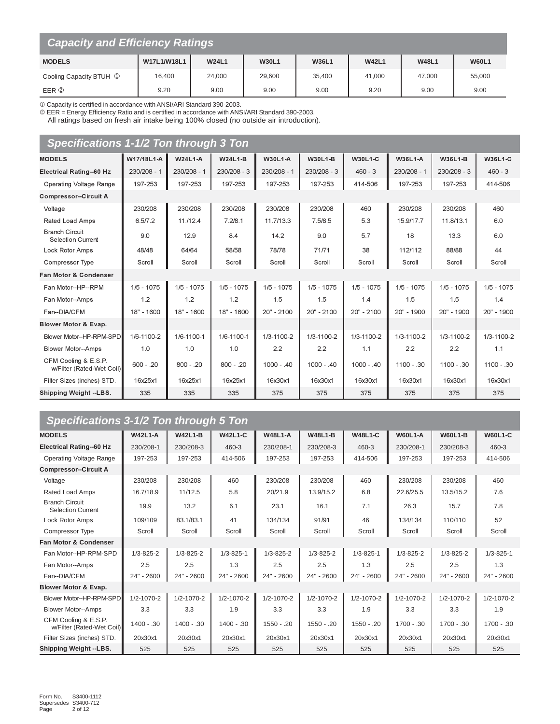| <b>Capacity and Efficiency Ratings</b> |             |              |              |              |              |              |              |
|----------------------------------------|-------------|--------------|--------------|--------------|--------------|--------------|--------------|
| <b>MODELS</b>                          | W17L1/W18L1 | <b>W24L1</b> | <b>W30L1</b> | <b>W36L1</b> | <b>W42L1</b> | <b>W48L1</b> | <b>W60L1</b> |
| Cooling Capacity BTUH 1                | 16,400      | 24,000       | 29,600       | 35,400       | 41,000       | 47.000       | 55,000       |
| EER 2                                  | 9.20        | 9.00         | 9.00         | 9.00         | 9.20         | 9.00         | 9.00         |

0 Capacity is certified in accordance with ANSI/ARI Standard 390-2003.<br>
© EER = Energy Efficiency Ratio and is certified in accordance with ANSI/ARI Standard 390-2003.<br>
All ratings based on fresh air intake being 100% clos

| Specifications 1-1/2 Ton through 3 Ton            |              |                |                |              |                |              |                |               |                |
|---------------------------------------------------|--------------|----------------|----------------|--------------|----------------|--------------|----------------|---------------|----------------|
| <b>MODELS</b>                                     | W17/18L1-A   | <b>W24L1-A</b> | <b>W24L1-B</b> | W30L1-A      | <b>W30L1-B</b> | W30L1-C      | <b>W36L1-A</b> | W36L1-B       | <b>W36L1-C</b> |
| Electrical Rating--60 Hz                          | 230/208 - 1  | 230/208 - 1    | 230/208 - 3    | 230/208 - 1  | $230/208 - 3$  | $460 - 3$    | 230/208 - 1    | $230/208 - 3$ | $460 - 3$      |
| Operating Voltage Range                           | 197-253      | 197-253        | 197-253        | 197-253      | 197-253        | 414-506      | 197-253        | 197-253       | 414-506        |
| <b>Compressor--Circuit A</b>                      |              |                |                |              |                |              |                |               |                |
| Voltage                                           | 230/208      | 230/208        | 230/208        | 230/208      | 230/208        | 460          | 230/208        | 230/208       | 460            |
| Rated Load Amps                                   | 6.5/7.2      | 11./12.4       | 7.2/8.1        | 11.7/13.3    | 7.5/8.5        | 5.3          | 15.9/17.7      | 11.8/13.1     | 6.0            |
| <b>Branch Circuit</b><br><b>Selection Current</b> | 9.0          | 12.9           | 8.4            | 14.2         | 9.0            | 5.7          | 18             | 13.3          | 6.0            |
| Lock Rotor Amps                                   | 48/48        | 64/64          | 58/58          | 78/78        | 71/71          | 38           | 112/112        | 88/88         | 44             |
| <b>Compressor Type</b>                            | Scroll       | Scroll         | Scroll         | Scroll       | Scroll         | Scroll       | Scroll         | Scroll        | Scroll         |
| <b>Fan Motor &amp; Condenser</b>                  |              |                |                |              |                |              |                |               |                |
| Fan Motor--HP--RPM                                | $1/5 - 1075$ | $1/5 - 1075$   | $1/5 - 1075$   | $1/5 - 1075$ | $1/5 - 1075$   | $1/5 - 1075$ | $1/5 - 1075$   | $1/5 - 1075$  | $1/5 - 1075$   |
| Fan Motor--Amps                                   | 1.2          | 1.2            | 1.2            | 1.5          | 1.5            | 1.4          | 1.5            | 1.5           | 1.4            |
| Fan--DIA/CFM                                      | 18" - 1600   | 18" - 1600     | 18" - 1600     | 20" - 2100   | 20" - 2100     | 20" - 2100   | 20" - 1900     | 20" - 1900    | 20" - 1900     |
| Blower Motor & Evap.                              |              |                |                |              |                |              |                |               |                |
| Blower Motor--HP-RPM-SPD                          | 1/6-1100-2   | 1/6-1100-1     | 1/6-1100-1     | 1/3-1100-2   | 1/3-1100-2     | 1/3-1100-2   | 1/3-1100-2     | 1/3-1100-2    | 1/3-1100-2     |
| <b>Blower Motor--Amps</b>                         | 1.0          | 1.0            | 1.0            | 2.2          | 2.2            | 1.1          | 2.2            | 2.2           | 1.1            |
| CFM Cooling & E.S.P.<br>w/Filter (Rated-Wet Coil) | $600 - .20$  | $800 - 0.20$   | $800 - 0.20$   | $1000 - 40$  | $1000 - .40$   | $1000 - 40$  | $1100 - 30$    | 1100 - 30     | 1100 - .30     |
| Filter Sizes (inches) STD.                        | 16x25x1      | 16x25x1        | 16x25x1        | 16x30x1      | 16x30x1        | 16x30x1      | 16x30x1        | 16x30x1       | 16x30x1        |
| Shipping Weight --LBS.                            | 335          | 335            | 335            | 375          | 375            | 375          | 375            | 375           | 375            |

# Specifications 3-1/2 Ton through 5 Ton

| <b>MODELS</b>                                     | <b>W42L1-A</b>   | <b>W42L1-B</b>   | <b>W42L1-C</b>   | <b>W48L1-A</b>   | <b>W48L1-B</b>   | <b>W48L1-C</b>   | <b>W60L1-A</b>   | <b>W60L1-B</b>   | <b>W60L1-C</b>   |
|---------------------------------------------------|------------------|------------------|------------------|------------------|------------------|------------------|------------------|------------------|------------------|
| <b>Electrical Rating-60 Hz</b>                    | 230/208-1        | 230/208-3        | 460-3            | 230/208-1        | 230/208-3        | 460-3            | 230/208-1        | 230/208-3        | 460-3            |
| Operating Voltage Range                           | 197-253          | 197-253          | 414-506          | 197-253          | 197-253          | 414-506          | 197-253          | 197-253          | 414-506          |
| <b>Compressor--Circuit A</b>                      |                  |                  |                  |                  |                  |                  |                  |                  |                  |
| Voltage                                           | 230/208          | 230/208          | 460              | 230/208          | 230/208          | 460              | 230/208          | 230/208          | 460              |
| Rated Load Amps                                   | 16.7/18.9        | 11/12.5          | 5.8              | 20/21.9          | 13.9/15.2        | 6.8              | 22.6/25.5        | 13.5/15.2        | 7.6              |
| <b>Branch Circuit</b><br><b>Selection Current</b> | 19.9             | 13.2             | 6.1              | 23.1             | 16.1             | 7.1              | 26.3             | 15.7             | 7.8              |
| Lock Rotor Amps                                   | 109/109          | 83.1/83.1        | 41               | 134/134          | 91/91            | 46               | 134/134          | 110/110          | 52               |
| <b>Compressor Type</b>                            | Scroll           | Scroll           | Scroll           | Scroll           | Scroll           | Scroll           | Scroll           | Scroll           | Scroll           |
| <b>Fan Motor &amp; Condenser</b>                  |                  |                  |                  |                  |                  |                  |                  |                  |                  |
| Fan Motor--HP-RPM-SPD                             | $1/3 - 825 - 2$  | $1/3 - 825 - 2$  | $1/3 - 825 - 1$  | $1/3 - 825 - 2$  | $1/3 - 825 - 2$  | $1/3 - 825 - 1$  | $1/3 - 825 - 2$  | $1/3 - 825 - 2$  | $1/3 - 825 - 1$  |
| Fan Motor--Amps                                   | 2.5              | 2.5              | 1.3              | 2.5              | 2.5              | 1.3              | 2.5              | 2.5              | 1.3              |
| Fan--DIA/CFM                                      | 24" - 2600       | 24" - 2600       | 24" - 2600       | 24" - 2600       | 24" - 2600       | 24" - 2600       | 24" - 2600       | 24" - 2600       | 24" - 2600       |
| Blower Motor & Evap.                              |                  |                  |                  |                  |                  |                  |                  |                  |                  |
| Blower Motor--HP-RPM-SPD                          | $1/2 - 1070 - 2$ | $1/2 - 1070 - 2$ | $1/2 - 1070 - 2$ | $1/2 - 1070 - 2$ | $1/2 - 1070 - 2$ | $1/2 - 1070 - 2$ | $1/2 - 1070 - 2$ | $1/2 - 1070 - 2$ | $1/2 - 1070 - 2$ |
| <b>Blower Motor--Amps</b>                         | 3.3              | 3.3              | 1.9              | 3.3              | 3.3              | 1.9              | 3.3              | 3.3              | 1.9              |
| CFM Cooling & E.S.P.<br>w/Filter (Rated-Wet Coil) | $1400 - .30$     | 1400 - .30       | 1400 - .30       | $1550 - 0.20$    | $1550 - 0.20$    | 1550 - .20       | 1700 - .30       | 1700 - .30       | $1700 - .30$     |
| Filter Sizes (inches) STD.                        | 20x30x1          | 20x30x1          | 20x30x1          | 20x30x1          | 20x30x1          | 20x30x1          | 20x30x1          | 20x30x1          | 20x30x1          |
| <b>Shipping Weight--LBS.</b>                      | 525              | 525              | 525              | 525              | 525              | 525              | 525              | 525              | 525              |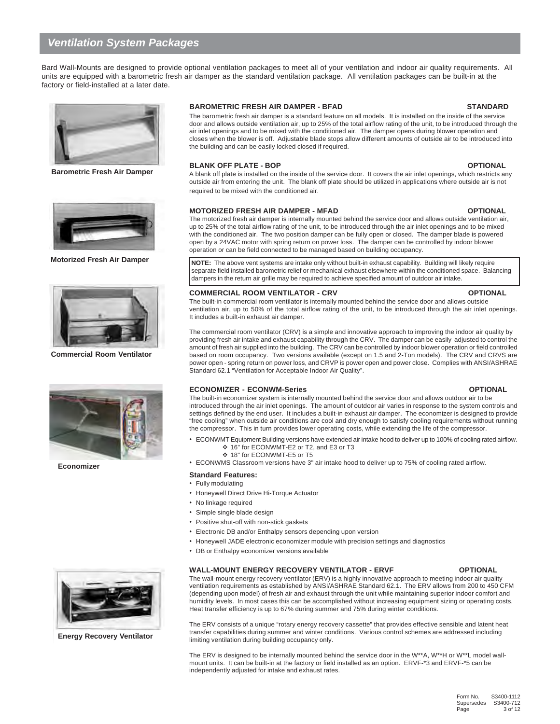# *Ventilation System Packages*

Bard Wall-Mounts are designed to provide optional ventilation packages to meet all of your ventilation and indoor air quality requirements. All units are equipped with a barometric fresh air damper as the standard ventilation package. All ventilation packages can be built-in at the factory or field-installed at a later date.



**Barometric Fresh Air Damper**



**Motorized Fresh Air Damper**



**Commercial Room Ventilator**



**Economizer**

**Energy Recovery Ventilator**

#### **BAROMETRIC FRESH AIR DAMPER - BFAD STANDARD**

The barometric fresh air damper is a standard feature on all models. It is installed on the inside of the service door and allows outside ventilation air, up to 25% of the total airflow rating of the unit, to be introduced through the air inlet openings and to be mixed with the conditioned air. The damper opens during blower operation and closes when the blower is off. Adjustable blade stops allow different amounts of outside air to be introduced into the building and can be easily locked closed if required.

#### **BLANK OFF PLATE - BOP OPTIONAL**

A blank off plate is installed on the inside of the service door. It covers the air inlet openings, which restricts any outside air from entering the unit. The blank off plate should be utilized in applications where outside air is not required to be mixed with the conditioned air.

#### **MOTORIZED FRESH AIR DAMPER - MFAD OPTIONAL**

The motorized fresh air damper is internally mounted behind the service door and allows outside ventilation air, up to 25% of the total airflow rating of the unit, to be introduced through the air inlet openings and to be mixed with the conditioned air. The two position damper can be fully open or closed. The damper blade is powered open by a 24VAC motor with spring return on power loss. The damper can be controlled by indoor blower operation or can be field connected to be managed based on building occupancy.

**NOTE:** The above vent systems are intake only without built-in exhaust capability. Building will likely require separate field installed barometric relief or mechanical exhaust elsewhere within the conditioned space. Balancing dampers in the return air grille may be required to achieve specified amount of outdoor air intake.

#### **COMMERCIAL ROOM VENTILATOR - CRV OPTIONAL**

The built-in commercial room ventilator is internally mounted behind the service door and allows outside ventilation air, up to 50% of the total airflow rating of the unit, to be introduced through the air inlet openings. It includes a built-in exhaust air damper.

The commercial room ventilator (CRV) is a simple and innovative approach to improving the indoor air quality by providing fresh air intake and exhaust capability through the CRV. The damper can be easily adjusted to control the amount of fresh air supplied into the building. The CRV can be controlled by indoor blower operation or field controlled based on room occupancy. Two versions available (except on 1.5 and 2-Ton models). The CRV and CRVS are power open - spring return on power loss, and CRVP is power open and power close. Complies with ANSI/ASHRAE Standard 62.1 "Ventilation for Acceptable Indoor Air Quality".

#### **ECONOMIZER - ECONWM-Series OPTIONAL**

The built-in economizer system is internally mounted behind the service door and allows outdoor air to be introduced through the air inlet openings. The amount of outdoor air varies in response to the system controls and settings defined by the end user. It includes a built-in exhaust air damper. The economizer is designed to provide "free cooling" when outside air conditions are cool and dry enough to satisfy cooling requirements without running the compressor. This in turn provides lower operating costs, while extending the life of the compressor.

- ECONWMT Equipment Building versions have extended air intake hood to deliver up to 100% of cooling rated airflow. 16" for ECONWMT-E2 or T2, and E3 or T3
	- 18" for ECONWMT-E5 or T5
- ECONWMS Classroom versions have 3" air intake hood to deliver up to 75% of cooling rated airflow.

#### **Standard Features:**

- Fully modulating
- Honeywell Direct Drive Hi-Torque Actuator
- No linkage required
- Simple single blade design
- Positive shut-off with non-stick gaskets
- Electronic DB and/or Enthalpy sensors depending upon version
- Honeywell JADE electronic economizer module with precision settings and diagnostics
- DB or Enthalpy economizer versions available

#### WALL-MOUNT ENERGY RECOVERY VENTILATOR - ERVF **OPTIONAL**

The wall-mount energy recovery ventilator (ERV) is a highly innovative approach to meeting indoor air quality ventilation requirements as established by ANSI/ASHRAE Standard 62.1. The ERV allows from 200 to 450 CFM (depending upon model) of fresh air and exhaust through the unit while maintaining superior indoor comfort and humidity levels. In most cases this can be accomplished without increasing equipment sizing or operating costs. Heat transfer efficiency is up to 67% during summer and 75% during winter conditions.

The ERV consists of a unique "rotary energy recovery cassette" that provides effective sensible and latent heat transfer capabilities during summer and winter conditions. Various control schemes are addressed including limiting ventilation during building occupancy only.

The ERV is designed to be internally mounted behind the service door in the W\*\*A, W\*\*H or W\*\*L model wallmount units. It can be built-in at the factory or field installed as an option. ERVF-\*3 and ERVF-\*5 can be independently adjusted for intake and exhaust rates.

#### Form No. S3400-1112 Supersedes<br>Page 3 of 12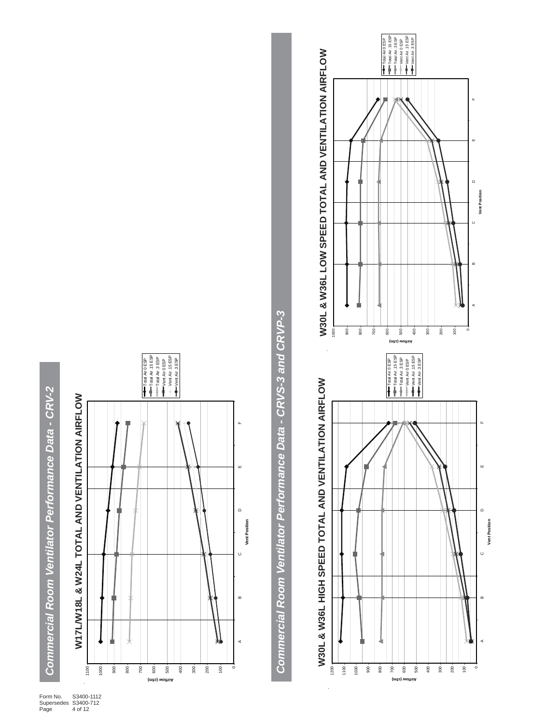







Form No. S3400-1112 Supersedes S3400-712 Page 4 of 12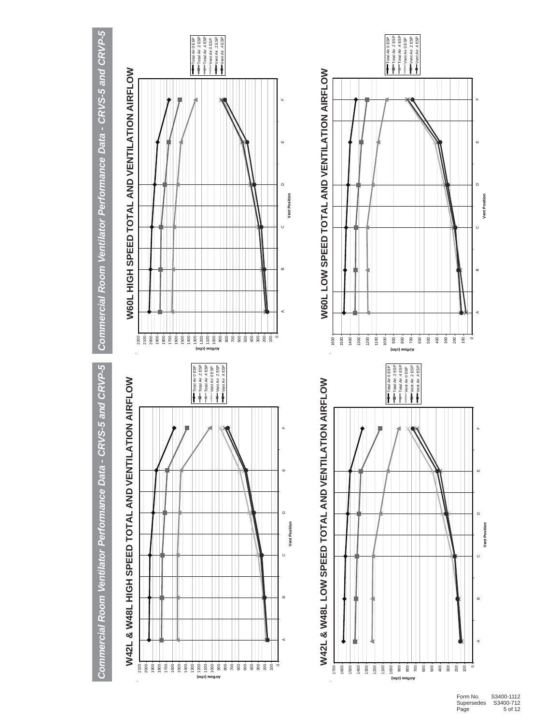Commercial Room Ventilator Performance Data - CRVS-5 and CRVP-5

# W42L & W48L HIGH SPEED TOTAL AND VENTILATION AIRFLOW **W42L & W48L HIGH SPEED TOTAL AND VENTILATION AIRFLOW**







# Commercial Room Ventilator Performance Data - CRVS-5 and CRVP-5 *Commercial Room Ventilator Performance Data - CRVS-5 and CRVP-5 Commercial Room Ventilator Performance Data - CRVS-5 and CRVP-5*







**Vent Position**

Vent Position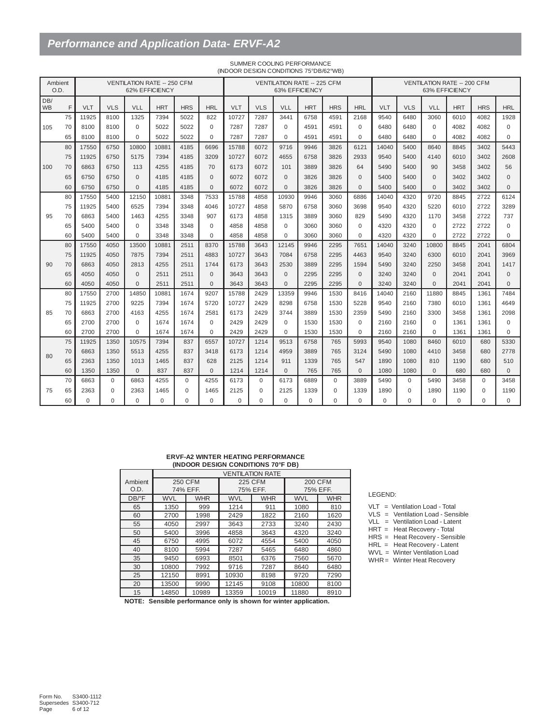# *Performance and Application Data- ERVF-A2*

| Ambient<br>O.D.  |    |          |            | <b>VENTILATION RATE -- 250 CFM</b> | 62% EFFICIENCY |            |            |          |            | <b>VENTILATION RATE -- 225 CFM</b> | 63% EFFICIENCY |            |              |          |            | <b>VENTILATION RATE -- 200 CFM</b> | 63% EFFICIENCY |            |            |
|------------------|----|----------|------------|------------------------------------|----------------|------------|------------|----------|------------|------------------------------------|----------------|------------|--------------|----------|------------|------------------------------------|----------------|------------|------------|
| DB/<br><b>WB</b> | F  | VLT      | <b>VLS</b> | VLL                                | <b>HRT</b>     | <b>HRS</b> | <b>HRL</b> | VLT      | <b>VLS</b> | VLL                                | <b>HRT</b>     | <b>HRS</b> | <b>HRL</b>   | VLT      | <b>VLS</b> | VLL                                | <b>HRT</b>     | <b>HRS</b> | <b>HRL</b> |
|                  | 75 | 11925    | 8100       | 1325                               | 7394           | 5022       | 822        | 10727    | 7287       | 3441                               | 6758           | 4591       | 2168         | 9540     | 6480       | 3060                               | 6010           | 4082       | 1928       |
| 105              | 70 | 8100     | 8100       | $\Omega$                           | 5022           | 5022       | $\Omega$   | 7287     | 7287       | $\Omega$                           | 4591           | 4591       | $\Omega$     | 6480     | 6480       | $\Omega$                           | 4082           | 4082       | $\Omega$   |
|                  | 65 | 8100     | 8100       | $\Omega$                           | 5022           | 5022       | $\Omega$   | 7287     | 7287       | $\Omega$                           | 4591           | 4591       | $\Omega$     | 6480     | 6480       | $\Omega$                           | 4082           | 4082       | $\Omega$   |
|                  | 80 | 17550    | 6750       | 10800                              | 10881          | 4185       | 6696       | 15788    | 6072       | 9716                               | 9946           | 3826       | 6121         | 14040    | 5400       | 8640                               | 8845           | 3402       | 5443       |
|                  | 75 | 11925    | 6750       | 5175                               | 7394           | 4185       | 3209       | 10727    | 6072       | 4655                               | 6758           | 3826       | 2933         | 9540     | 5400       | 4140                               | 6010           | 3402       | 2608       |
| 100              | 70 | 6863     | 6750       | 113                                | 4255           | 4185       | 70         | 6173     | 6072       | 101                                | 3889           | 3826       | 64           | 5490     | 5400       | 90                                 | 3458           | 3402       | 56         |
|                  | 65 | 6750     | 6750       | $\Omega$                           | 4185           | 4185       | $\Omega$   | 6072     | 6072       | $\Omega$                           | 3826           | 3826       | $\Omega$     | 5400     | 5400       | $\Omega$                           | 3402           | 3402       | $\Omega$   |
|                  | 60 | 6750     | 6750       | $\Omega$                           | 4185           | 4185       | $\Omega$   | 6072     | 6072       | $\mathbf{0}$                       | 3826           | 3826       | $\Omega$     | 5400     | 5400       | $\Omega$                           | 3402           | 3402       | $\Omega$   |
|                  | 80 | 17550    | 5400       | 12150                              | 10881          | 3348       | 7533       | 15788    | 4858       | 10930                              | 9946           | 3060       | 6886         | 14040    | 4320       | 9720                               | 8845           | 2722       | 6124       |
|                  | 75 | 11925    | 5400       | 6525                               | 7394           | 3348       | 4046       | 10727    | 4858       | 5870                               | 6758           | 3060       | 3698         | 9540     | 4320       | 5220                               | 6010           | 2722       | 3289       |
| 95               | 70 | 6863     | 5400       | 1463                               | 4255           | 3348       | 907        | 6173     | 4858       | 1315                               | 3889           | 3060       | 829          | 5490     | 4320       | 1170                               | 3458           | 2722       | 737        |
|                  | 65 | 5400     | 5400       | $\mathbf 0$                        | 3348           | 3348       | $\Omega$   | 4858     | 4858       | $\mathbf 0$                        | 3060           | 3060       | $\mathbf 0$  | 4320     | 4320       | $\mathbf 0$                        | 2722           | 2722       | $\Omega$   |
|                  | 60 | 5400     | 5400       | $\Omega$                           | 3348           | 3348       | $\Omega$   | 4858     | 4858       | 0                                  | 3060           | 3060       | $\mathbf 0$  | 4320     | 4320       | $\Omega$                           | 2722           | 2722       | $\Omega$   |
|                  | 80 | 17550    | 4050       | 13500                              | 10881          | 2511       | 8370       | 15788    | 3643       | 12145                              | 9946           | 2295       | 7651         | 14040    | 3240       | 10800                              | 8845           | 2041       | 6804       |
|                  | 75 | 11925    | 4050       | 7875                               | 7394           | 2511       | 4883       | 10727    | 3643       | 7084                               | 6758           | 2295       | 4463         | 9540     | 3240       | 6300                               | 6010           | 2041       | 3969       |
| 90               | 70 | 6863     | 4050       | 2813                               | 4255           | 2511       | 1744       | 6173     | 3643       | 2530                               | 3889           | 2295       | 1594         | 5490     | 3240       | 2250                               | 3458           | 2041       | 1417       |
|                  | 65 | 4050     | 4050       | $\Omega$                           | 2511           | 2511       | $\Omega$   | 3643     | 3643       | $\Omega$                           | 2295           | 2295       | $\Omega$     | 3240     | 3240       | $\Omega$                           | 2041           | 2041       | $\Omega$   |
|                  | 60 | 4050     | 4050       | $\Omega$                           | 2511           | 2511       | $\Omega$   | 3643     | 3643       | $\Omega$                           | 2295           | 2295       | $\Omega$     | 3240     | 3240       | $\Omega$                           | 2041           | 2041       | $\Omega$   |
|                  | 80 | 17550    | 2700       | 14850                              | 10881          | 1674       | 9207       | 15788    | 2429       | 13359                              | 9946           | 1530       | 8416         | 14040    | 2160       | 11880                              | 8845           | 1361       | 7484       |
|                  | 75 | 11925    | 2700       | 9225                               | 7394           | 1674       | 5720       | 10727    | 2429       | 8298                               | 6758           | 1530       | 5228         | 9540     | 2160       | 7380                               | 6010           | 1361       | 4649       |
| 85               | 70 | 6863     | 2700       | 4163                               | 4255           | 1674       | 2581       | 6173     | 2429       | 3744                               | 3889           | 1530       | 2359         | 5490     | 2160       | 3300                               | 3458           | 1361       | 2098       |
|                  | 65 | 2700     | 2700       | $\Omega$                           | 1674           | 1674       | $\Omega$   | 2429     | 2429       | $\Omega$                           | 1530           | 1530       | $\Omega$     | 2160     | 2160       | $\Omega$                           | 1361           | 1361       | $\Omega$   |
|                  | 60 | 2700     | 2700       | $\Omega$                           | 1674           | 1674       | $\Omega$   | 2429     | 2429       | $\Omega$                           | 1530           | 1530       | $\Omega$     | 2160     | 2160       | $\Omega$                           | 1361           | 1361       | $\Omega$   |
|                  | 75 | 11925    | 1350       | 10575                              | 7394           | 837        | 6557       | 10727    | 1214       | 9513                               | 6758           | 765        | 5993         | 9540     | 1080       | 8460                               | 6010           | 680        | 5330       |
| 80               | 70 | 6863     | 1350       | 5513                               | 4255           | 837        | 3418       | 6173     | 1214       | 4959                               | 3889           | 765        | 3124         | 5490     | 1080       | 4410                               | 3458           | 680        | 2778       |
|                  | 65 | 2363     | 1350       | 1013                               | 1465           | 837        | 628        | 2125     | 1214       | 911                                | 1339           | 765        | 547          | 1890     | 1080       | 810                                | 1190           | 680        | 510        |
|                  | 60 | 1350     | 1350       | $\Omega$                           | 837            | 837        | $\Omega$   | 1214     | 1214       | $\mathbf{0}$                       | 765            | 765        | $\mathbf{0}$ | 1080     | 1080       | $\Omega$                           | 680            | 680        | $\Omega$   |
|                  | 70 | 6863     | $\Omega$   | 6863                               | 4255           | $\Omega$   | 4255       | 6173     | $\Omega$   | 6173                               | 6889           | $\Omega$   | 3889         | 5490     | $\Omega$   | 5490                               | 3458           | $\Omega$   | 3458       |
| 75               | 65 | 2363     | $\Omega$   | 2363                               | 1465           | $\Omega$   | 1465       | 2125     | $\Omega$   | 2125                               | 1339           | 0          | 1339         | 1890     | $\Omega$   | 1890                               | 1190           | $\Omega$   | 1190       |
|                  | 60 | $\Omega$ | $\Omega$   | $\Omega$                           | $\Omega$       | $\Omega$   | $\Omega$   | $\Omega$ | $\Omega$   | $\Omega$                           | $\Omega$       | $\Omega$   | $\Omega$     | $\Omega$ | $\Omega$   | $\Omega$                           | $\Omega$       | $\Omega$   | $\Omega$   |

#### SUMMER COOLING PERFORMANCE (INDOOR DESIGN CONDITIONS 75°DB/62°WB)

#### **ERVF-A2 WINTER HEATING PERFORMANCE (INDOOR DESIGN CONDITIONS 70°F DB)**

|         | ,          |                |            |                         |            |                |
|---------|------------|----------------|------------|-------------------------|------------|----------------|
|         |            |                |            | <b>VENTILATION RATE</b> |            |                |
| Ambient |            | <b>250 CFM</b> |            | <b>225 CFM</b>          |            | <b>200 CFM</b> |
| O.D.    |            | 74% EFF.       |            | 75% EFF.                |            | 75% EFF.       |
| DB/°F   | <b>WVL</b> | <b>WHR</b>     | <b>WVL</b> | <b>WHR</b>              | <b>WVL</b> | <b>WHR</b>     |
| 65      | 1350       | 999            | 1214       | 911                     | 1080       | 810            |
| 60      | 2700       | 1998           | 2429       | 1822                    | 2160       | 1620           |
| 55      | 4050       | 2997           | 3643       | 2733                    | 3240       | 2430           |
| 50      | 5400       | 3996           | 4858       | 3643                    | 4320       | 3240           |
| 45      | 6750       | 4995           | 6072       | 4554                    | 5400       | 4050           |
| 40      | 8100       | 5994           | 7287       | 5465                    | 6480       | 4860           |
| 35      | 9450       | 6993           | 8501       | 6376                    | 7560       | 5670           |
| 30      | 10800      | 7992           | 9716       | 7287                    | 8640       | 6480           |
| 25      | 12150      | 8991           | 10930      | 8198                    | 9720       | 7290           |
| 20      | 13500      | 9990           | 12145      | 9108                    | 10800      | 8100           |
| 15      | 14850      | 10989          | 13359      | 10019                   | 11880      | 8910           |

#### LEGEND:

- VLT = Ventilation Load Total
- VLS = Ventilation Load Sensible
- VLL = Ventilation Load Latent
- HRT = Heat Recovery Total
- HRS = Heat Recovery Sensible
- HRL = Heat Recovery Latent WVL = Winter Ventilation Load
- WHR= Winter Heat Recovery

**NOTE:** Sensible performance only is shown for winter application.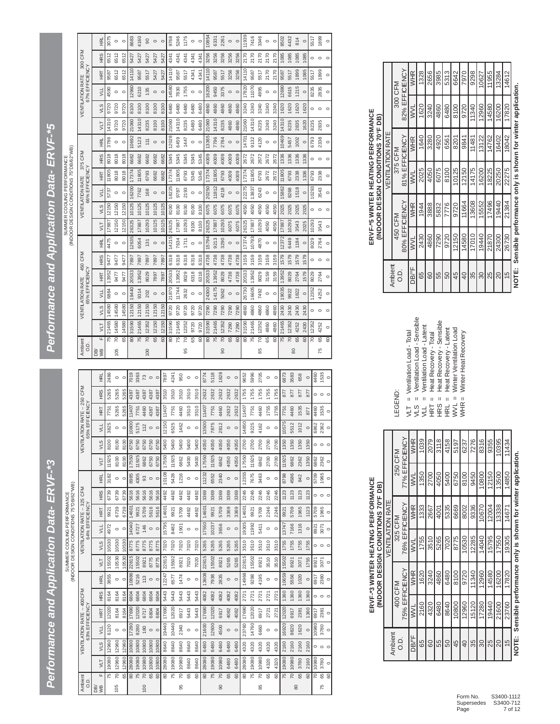*Performance and Application Data- ERVF-\*3 Performance and Application Data- ERVF-\*5*Performance and Application Data- ERVF-\*3

SUMMER COOLING PERFORMANCE SUMMER COOLING PERFORMANCE<br>INDOOR DESIGN CONDITIONS 75°DR#2°

|                                       |                                               | 로<br>또        | 2486  | $\circ$ | $\circ$        | 7019           | 3363           | 73             | $\circ$ | $\circ$   | 7897           | 4241  | 950            | $\circ$ | $\circ$        | 8774           | 5118           | 1828           | $\circ$ | $\circ$        | 9652           | 5996  | 2705           | $\circ$ | $\circ$ | 6873           | 3583           | 658  | $\circ$        | 4460    | 1535                    | $\circ$ |
|---------------------------------------|-----------------------------------------------|---------------|-------|---------|----------------|----------------|----------------|----------------|---------|-----------|----------------|-------|----------------|---------|----------------|----------------|----------------|----------------|---------|----------------|----------------|-------|----------------|---------|---------|----------------|----------------|------|----------------|---------|-------------------------|---------|
|                                       | CFM                                           | <b>HRS</b>    | 5265  | 5265    | 5265           | 4387           | 4387           | 4387           | 4387    | 4387      | 3510           | 3510  | 3510           | 3510    | 3510           | 2632           | 2632           | 2632           | 2632    | 2632           | 1755           | 1755  | 1755           | 1755    | 1755    | 877            | 877            | 877  | 877            | 0       | $\circ$                 | $\circ$ |
|                                       | $-250$                                        | EET           | 7751  | 5265    | 5265           | 11407          | 7751           | 4460           | 4387    | 4387      | 11407          | 7751  | 4460           | 3510    | 3510           | 11407          | 7751           | 4460           | 2632    | 2632           | 11407          | 7751  | 4460           | 1755    | 1755    | 7751           | 4460           | 1535 | 877            | 4460    | 1535                    | $\circ$ |
|                                       | 65% EFFICENCY                                 | ЧL            | 3825  | $\circ$ | $\circ$        | 10800          | 5175           | 112            | $\circ$ | $\circ$   | 2150           | 6525  | 1462           | $\circ$ | $\circ$        | 13500          | 7875           | 2812           | $\circ$ | $\circ$        | 14850          | 9225  | 4162           | $\circ$ | $\circ$ | 10575          | 5512           | 1012 | $\circ$        | 6862    | 2362                    | $\circ$ |
|                                       | <b>VENTILATION RATE</b>                       | VLS           | 8100  | 8100    | 8100           | 6750           | 6750           | 6750           | 6750    | 6750      | 5400           | 5400  | 5400           | 5400    | 5400           | 4050           | 4050           | 4050           | 4050    | 4050           | 2700           | 2700  | 2700           | 2700    | 2700    | 1350           | 1350           | 1350 | 1350           |         | $\circ$ $\circ$         | $\circ$ |
|                                       |                                               | VLT           | 11925 | 8100    | 8100           | 17550          | 11925          | 6862           | 6750    | 6750      | 17550          | 11925 | 6862           | 5400    | 5400           | 17550          | 11925          | 6862           | 4050    | 4050           | 17550          | 11925 | 6862           | 2700    | 2700    | 11925          | 6862           | 2362 | 1350           | 6862    | 2362                    | $\circ$ |
|                                       |                                               | 롶             | 3182  | $\circ$ | $\circ$        | 8985           | 4305           | 93             | $\circ$ | $\circ$   | 0108           | 5428  | 1216           | $\circ$ | $\circ$        | 11232          | 6552           | 2340           | $\circ$ | $\circ$        | 2355           | 7675  | 3463           | $\circ$ | $\circ$ | 8798           | 4586           | 842  | $\circ$        | 5709    | 1965                    | $\circ$ |
|                                       |                                               | <b>HRS</b>    | 6739  | 6739    | 6739           | 5616           | 5616           | 5616           | 5616    | 5616      | 4492           | 4492  | 4492           | 4492    | 4492           | 3369           | 3369           | 3369           | 3369    | 3369           | 2246           | 2246  | 2246           | 2246    | 2246    | 1123           | 1123           | 1123 | 1123           | 。。      |                         | $\circ$ |
|                                       |                                               | <b>Tal</b>    | 9921  | 6739    | 6739           | 14601          | 9921           | 5709           | 5616    | 5616      | 14601          | 9921  | 5709           | 4492    | 4492           | 14601          | 9921           | 5709           | 3369    | 3369           | 14601          | 9921  | 5709           | 2246    | 2246    | 9921           | 5709           | 1965 | 1123           | 5709    | 1965                    | $\circ$ |
|                                       | VENTILATION RATE -- 325 CFM<br>64% EFFICIENCY | $\frac{1}{2}$ | 4972  | $\circ$ | $\circ$        | 14040          | 6727           | 146            | $\circ$ | $\circ$   | 15795          | 8482  | 1901           | $\circ$ | $\circ$        | 17550          | 10237          | 3656           | $\circ$ | $\circ$        | 19305          | 11992 | 5411           | $\circ$ | $\circ$ | 13747          | 7166           | 1316 | $\circ$        | 8921    | 3071                    | $\circ$ |
|                                       |                                               | VLS           | 10530 | 10530   | 10530          | 8775           | 8775           | 8775           | 8775    | 8775      | 7020           | 7020  | 7020           | 7020    | 7020           | 5265           | 5265           | 5265           | 5265    | 5265           | 3510           | 3510  | 3510           | 3510    | 3510    | 1755           | 1755           | 1755 | 1755           |         | $\circ$ $\circ$ $\circ$ |         |
| INDOOR DESIGN CONDITIONS 75°DB/62°WB) |                                               | JЦ            | 15502 | 10530   | 10530          | 22815          | 15502          | 8921           | 8775    | 8775      | 22815          | 15502 | 8921           | 7020    | 7020           | 22815          | 15502          | 8921           | 5265    | 5265           | 22815          | 15502 | 8921           | 3510    | 3510    | 15502          | 8921           | 3071 | 1755           | 8921    | 3071                    | $\circ$ |
|                                       |                                               | 롶             | 3855  | $\circ$ | $\circ$        | 10886          | 5216           | 113            | $\circ$ | $\subset$ | 12247          | 6577  | 1474           | $\circ$ | $\circ$        | 3608           | 7938           | 2835           | $\circ$ | $\circ$        | 14968          | 9298  | 4195           | $\circ$ | $\circ$ | 10659          | 5556           | 1020 | $\circ$        | 6917    | 2380                    | $\circ$ |
|                                       | $-400CFM$                                     | <b>HRS</b>    | 8164  | 8164    | 8164           | 6804           | 6804           | 6804           | 6804    | 6804      | 5443           | 5443  | 5443           | 5443    | 5443           | 4082           | 4082           | 4082           | 4082    | 4082           | 2721           | 2721  | 2721           | 2721    | 2721    | 1360           | 1360           | 1360 | 1360           | 0       | $\circ$                 | $\circ$ |
|                                       |                                               | HRT           | 12020 | 8164    | 8164           | 17690          | 12020          | 6717           | 6804    | 6804      | 17690          | 12020 | 6917           | 5443    | 5443           | 17690          | 12020          | 6917           | 4082    | 4082           | 17690          | 12020 | 6917           | 2721    | 2721    | 12020          | 6917           | 2381 | 1360           | 6917    | 2381                    | $\circ$ |
|                                       | 63% EFFICENCY<br><b>VENTLATION RATE</b>       | ЧL            | 6120  | $\circ$ | $\circ$        | 7280           | 8280           | 180            | $\circ$ | $\circ$   | 19440          | 10440 | 2340           | $\circ$ | $\circ$        | 21600          | 12600          | 4500           | $\circ$ | $\circ$        | 23760          | 14760 | 6660           | $\circ$ | $\circ$ | 16920          | 8820           | 1620 | $\circ$        | 10980   | 3780                    | $\circ$ |
|                                       |                                               | VLS           | 12960 | 12960   | 12960          | 10800          | 10800          | 10800          | 10800   | 10800     | 8640           | 8640  | 8640           | 8640    | 8640           | 6480           | 6480           | 6480           | 6480    | 6480           | 4320           | 4320  | 4320           | 4320    | 4320    | 2160           | 2160           | 2160 | 2160           | $\circ$ | $\circ$                 | $\circ$ |
|                                       |                                               | JЦ            | 19080 | 12960   | 12960          | 28080          | 19080          | 10980          | 10800   | 10800     | 28080          | 19080 | 10980          | 8640    | 8640           | 28080          | 19080          | 10980          | 6480    | 6480           | 28080          | 19080 | 10980          | 4320    | 4320    | 19080          | 10980          | 3780 | 2160           | 10980   | 3780                    | $\circ$ |
|                                       |                                               | Щ             | 75    | ਫ਼      | $\overline{5}$ | $\overline{8}$ | $\overline{5}$ | $\overline{R}$ | 65      | 60        | $\overline{8}$ | 75    | $\overline{c}$ | 65      | $\overline{8}$ | $\overline{8}$ | $\overline{5}$ | $\overline{5}$ | 65      | $\overline{6}$ | $\overline{8}$ | 15    | $\overline{R}$ | 65      | 8       | $\overline{5}$ | $\overline{c}$ | 65   | $\overline{8}$ | ह       | 65                      | 8       |
|                                       | Ambient<br>O.D.                               | уB<br>DB/     |       | 105     |                |                |                | 100            |         |           |                |       | 95             |         |                |                |                | 8              |         |                |                |       | 85             |         |         |                | 80             |      |                |         | 75                      |         |

| b                                                      |
|--------------------------------------------------------|
| ₹                                                      |
| f                                                      |
| ú                                                      |
| ł<br>v<br>ı<br>ś<br>ь                                  |
| l<br>۰.<br>ł<br>¢<br>١<br>í<br>1                       |
| $\overline{\phantom{a}}$<br>×,                         |
| ٠<br>运<br>í<br>۰                                       |
| یہ<br>í<br>Ì<br>v<br>ы<br>١<br>۰                       |
| ∼<br>۰<br>⊣<br>-                                       |
| ٠                                                      |
| -<br>٠<br>m                                            |
| ۰<br>۰                                                 |
| 느<br>١<br>ູ<br>$\overline{\phantom{a}}$<br>I<br>۱<br>١ |
| q<br>ь<br>ь<br>۰                                       |
| d<br>٠<br>∼<br>١<br>۰                                  |
| ¢<br>v<br>A<br>۰<br>۰<br>I<br>⋴                        |
| ١<br>d                                                 |
| í.<br>¢<br>ь<br>Í,                                     |

SUMMER COOLING PERFORMANCE SUMMER COOLING PERFORMANCE

|                   |                 |         |         |                        |               |                 |         |         | (INDOOR DESIGN CONDITIONS 75°DB/62°WB) |                |            |            |         |       |         |                                          |         |                 |                |
|-------------------|-----------------|---------|---------|------------------------|---------------|-----------------|---------|---------|----------------------------------------|----------------|------------|------------|---------|-------|---------|------------------------------------------|---------|-----------------|----------------|
| Ambient<br>a<br>o |                 |         |         | <b>VENTLATION RATE</b> | 65% EFFICENCY | 450 CFM         |         |         | <b>VENTILATION RATE</b>                | 66% EFFICIENCY |            | 375 CFM    |         |       |         | 67% EFFICENCY<br><b>VENTILATION RATE</b> |         | 300 CFM         |                |
| @g                | u.              | УLТ     | VLS     | УЩ                     | <b>TaH</b>    | HR <sub>S</sub> | 홒       | yLT     | VLS                                    | УLL            | <b>TaH</b> | <b>HRS</b> | 롶       | JЦ    | VLS     | УLL                                      | EH      | HR <sub>S</sub> | 로              |
|                   | $\overline{75}$ | 21465   | 14580   | 6884                   | 13952         | 9477            | 4475    | 17887   | 12150                                  | 5737           | 11805      | 8018       | 3786    | 14310 | 9720    | 4590                                     | 9587    | 6512            | 3075           |
| 105               | 2               | 14580   | 14580   | $\circ$                | 9477          | 9477            | $\circ$ | 12150   | 12150                                  | $\circ$        | 8018       | 8018       | $\circ$ | 9720  | 9720    | $\circ$                                  | 6512    | 6512            | $\circ$        |
|                   | 65              | 14580   | 14580   | $\circ$                | 9477          | 9477            | $\circ$ | 12150   | 12150                                  | $\circ$        | 8018       | 8018       | $\circ$ | 9720  | 9720    | $\circ$                                  | 6512    | 6512            | $\circ$        |
|                   | $\overline{80}$ | 31590   | 12150   | 19440                  | 20533         | 7897            | 12635   | 26325   | 10125                                  | 16200          | 17374      | 6682       | 10692   | 21060 | 8100    | 2960                                     | 14110   | 5427            | 8683           |
|                   | $\overline{75}$ | 21465   | 12150   | 9314                   | 13952         | 7897            | 6054    | 17887   | 10125                                  | 7762           | 11805      | 6682       | 5123    | 14310 | 8100    | 6210                                     | 9587    | 5427            | 4160           |
| 100               | $\overline{5}$  | 12352   | 12150   | 202                    | 8029          | 7897            | 131     | 10293   | 10125                                  | 168            | 6793       | 6682       | 111     | 8235  | 8100    | 135                                      | 5517    | 5427            | $\overline{6}$ |
|                   | 65              | 12150   | 12150   | $\circ$                | 7897          | 7897            | $\circ$ | 10125   | 10125                                  | $\circ$        | 6682       | 6682       | $\circ$ | 8100  | 8100    | $\circ$                                  | 5427    | 5427            | $\circ$        |
|                   | $\overline{5}$  | 12150   | 12150   | $\circ$                | 7897          | 7897            | $\circ$ | 10125   | 10125                                  | $\circ$        | 6682       | 6682       | $\circ$ | 8100  | 8100    | $\circ$                                  | 5427    | 5427            | $\circ$        |
|                   | $\overline{80}$ | 31590   | 9720    | 21870                  | 20533         | 6318            | 14215   | 26325   | 8100                                   | 18225          | 17374      | 5345       | 12028   | 21060 | 6480    | 4580                                     | 14110   | 4341            | 9768           |
|                   | $\overline{75}$ | 21465   | 9720    | 11744                  | 13952         | 6318            | 7634    | 17887   | 8100                                   | 9787           | 11805      | 5345       | 6459    | 14310 | 6480    | 7830                                     | 9587    | 4341            | 5246           |
| 99                | $\overline{c}$  | 12352   | 9720    | 2632                   | 8029          | 6318            | 1711    | 10293   | 8100                                   | 2193           | 6793       | 5345       | 1447    | 8235  | 6480    | 1755                                     | 5517    | 4341            | 1175           |
|                   | 65              | 9720    | 9720    | $\circ$                | 6318          | 6318            | $\circ$ | 8100    | 8100                                   | $\circ$        | 5345       | 5345       | $\circ$ | 6480  | 6480    | $\circ$                                  | 4341    | 4341            | $\circ$        |
|                   | 60              | 9720    | 9720    | $\circ$                | 6318          | 6318            | $\circ$ | 8100    | 8100                                   | $\circ$        | 5345       | 5345       | $\circ$ | 6480  | 6480    | $\circ$                                  | 4341    | 4341            | $\circ$        |
|                   | $\overline{5}$  | 31590   | 7290    | 24300                  | 20533         | 4738            | 5794    | 26325   | 6075                                   | 20250          | 17374      | 4009       | 3365    | 21060 | 4860    | 6200                                     | 14110   | 3256            | 10854          |
|                   | $\overline{75}$ | 21465   | 7290    | 14175                  | 13952         | 4738            | 9213    | 17887   | 6075                                   | 11812          | 11805      | 4009       | 7796    | 14310 | 4860    | 9450                                     | 9587    | 3256            | 6331           |
| 8                 | $\overline{5}$  | 12352   | 7290    | 5062                   | 8029          | 4738            | 3290    | 10293   | 6075                                   | 4218           | 6793       | 4009       | 2784    | 8235  | 4860    | 3375                                     | 5517    | 3256            | 2261           |
|                   | 65              | 7290    | 7290    | $\circ$                | 4738          | 4738            | $\circ$ | 6075    | 6075                                   | $\circ$        | 4009       | 4009       | $\circ$ | 4860  | 4860    | $\circ$                                  | 3256    | 3256            | $\circ$        |
|                   | 60              | 7290    | 7290    | $\circ$                | 4738          | 4738            | $\circ$ | 6075    | 6075                                   | $\circ$        | 4009       | 4009       | $\circ$ | 4860  | 4860    | $\circ$                                  | 3256    | 3256            | $\circ$        |
|                   | $\overline{8}$  | 31590   | 4860    | 26730                  | 20533         | 3159            | 17374   | 26325   | 4050                                   | 22275          | 17374      | 2672       | 14701   | 21060 | 3240    | 17820                                    | 14110   | 2170            | 11939          |
|                   | 15              | 21465   | 4860    | 16605                  | 13952         | 3159            | 10793   | 17887   | 4050                                   | 13837          | 11805      | 2672       | 9132    | 14310 | 3240    | 11070                                    | 9587    | 2170            | 7416           |
| 85                | $\overline{5}$  | 12352   | 4860    | 7492                   | 8029          | 3159            | 4870    | 10293   | 4050                                   | 6243           | 6793       | 2672       | 4120    | 8235  | 3240    | 4995                                     | 5517    | 2170            | 3346           |
|                   | 65              | 4860    | 4860    | $\circ$                | 3159          | 3159            | $\circ$ | 4050    | 4050                                   | $\circ$        | 2672       | 2672       | $\circ$ | 3240  | 3240    | $\circ$                                  | 2170    | 2170            | $\circ$        |
|                   | 60              | 4860    | 4860    | $\circ$                | 3159          | 3159            | $\circ$ | 4050    | 4050                                   | $\circ$        | 2672       | 2672       | $\circ$ | 3240  | 3240    | $\circ$                                  | 2170    | 2170            | $\circ$        |
|                   | $\overline{5}$  | 21465   | 2430    | 19035                  | 13952         | 1579            | 2372    | 17887   | 2025                                   | 5862           | 11805      | 1336       | 10469   | 14310 | 1620    | 2690                                     | 9587    | 1085            | 8502           |
| 80                | $\overline{5}$  | 12352   | 2430    | 9922                   | 8029          | 1579            | 6449    | 10293   | 2025                                   | 8268           | 6793       | 1336       | 5457    | 8235  | 1620    | 6615                                     | 5517    | 1085            | 4432           |
|                   | 65              | 4252    | 2430    | 1822                   | 2764          | 1579            | 1184    | 3543    | 2025                                   | 1518           | 2338       | 1336       | 1002    | 2835  | 1620    | 1215                                     | 1899    | 1085            | 814            |
|                   | 60              | 2430    | 2430    | $\circ$                | 1579          | 1579            | $\circ$ | 2025    | 2025                                   | $\circ$        | 1336       | 1336       | $\circ$ | 1620  | 1620    | $\circ$                                  | 1085    | 1085            | $\circ$        |
|                   | 2               | 12352   | $\circ$ | 12352                  | 8029          | $\circ$         | 8029    | 10293   | $\circ$                                | 10293          | 6793       | $\circ$    | 6793    | 8235  | $\circ$ | 8235                                     | 5517    | $\circ$         | 5517           |
| 75                | 65              | 4252    | $\circ$ | 4252                   | 2764          | $\circ$         | 2764    | 3543    | $\circ$                                | 3543           | 2338       | $\circ$    | 2338    | 2835  | $\circ$ | 2835                                     | 1899    | $\circ$         | 1899           |
|                   | 60              | $\circ$ |         | $\circ$                | $\circ$       |                 | $\circ$ | $\circ$ |                                        | $\circ$        | $\circ$    |            | $\circ$ | c     |         | $\circ$                                  | $\circ$ |                 | $\circ$        |

|                                                                          |                  | 300 CFM             | 82% EFFICIENCY | WHR        | 1328 | 2656 | 3985 | 5313 | 6642  | 7970            | 9298  | 10627 | 11955 | 13284 | 14612         |                                                                  |
|--------------------------------------------------------------------------|------------------|---------------------|----------------|------------|------|------|------|------|-------|-----------------|-------|-------|-------|-------|---------------|------------------------------------------------------------------|
|                                                                          |                  |                     |                | <b>MVL</b> | 1620 | 3240 | 4860 | 6480 | 8100  | 9720            | 11340 | 12960 | 14580 | 16200 | 17820         |                                                                  |
|                                                                          | VENTILATION RATE | 375 CFM             | 81% EFFICIENCY | WHR        | 1640 | 3280 | 4920 | 6561 | 8201  | 9841            | 11481 | 13122 | 14762 | 16402 | 18042         |                                                                  |
|                                                                          |                  |                     |                | <b>MVL</b> | 2025 | 4050 | 6075 | 8100 | 10125 | 12150           | 14175 | 16200 | 18225 | 20250 | 22275         |                                                                  |
| ERVF-*5 WINTER HEATING PERFORMANCE<br>(INDOOR DESIGN CONDITIONS 70°F DB) |                  | 450 CFM             | 80% EFFICIENCY | WHR        | 1944 | 3888 | 5832 | 7776 | 9720  | 11664           | 13608 | 15552 | 17496 | 19440 | 21384         |                                                                  |
|                                                                          |                  |                     |                | <b>MVL</b> | 2430 | 4860 | 7290 | 9720 | 12150 | 14580           | 17010 | 19440 | 21870 | 24300 | 26730         | NOTE: Sensible performance only is shown for winter application. |
|                                                                          |                  | Ambient<br>o.<br>O. |                | DB/°F      | 65   | 80   | 55   | 50   | 45    | $\overline{40}$ | 35    | ೫     | 25    | 20    | $\frac{6}{2}$ |                                                                  |

|                 | LEGEND:        | $VLT = V$ entilation Load - Total | Ventilation Load - Sensible<br>$\overline{1}$<br>S7<br>N | Ventilation Load - Latent<br>$\overline{\mathbf{u}}$ | Heat Recovery - Total<br>II<br>HRT | Heat Recovery - Sensible<br>$\mathbf{I}$<br>HRS<br> | Heat Recovery - Latent<br><b>HRL</b> | <b>Ninter Ventilation Load</b><br>$WVL =$ | Winter Heat Recovery<br>$WHR =$ |       |       |       |
|-----------------|----------------|-----------------------------------|----------------------------------------------------------|------------------------------------------------------|------------------------------------|-----------------------------------------------------|--------------------------------------|-------------------------------------------|---------------------------------|-------|-------|-------|
|                 | 250 CFM        |                                   | WHR                                                      | I039                                                 | 2079                               | 3118                                                | 4158                                 | 5197                                      | 6237                            | 7276  | 8316  | 9355  |
|                 |                | 77% EFFICIENCY                    | <b>MVL</b>                                               | 1350                                                 | 2700                               | 4050                                                | 5400                                 | 6750                                      | 8100                            | 9450  | 10800 | 12150 |
| VENILAI UN KAIE | 325 CFM        |                                   | WHR                                                      | 1333                                                 | 2667                               | 4001                                                | 5335                                 | 6669                                      | 8002                            | 9336  | 10670 | 12004 |
|                 |                | 76% EFFICIENCY                    | <b>MVL</b>                                               | 1755                                                 | 3510                               | 5265                                                | 7020                                 | 8775                                      | 10530                           | 12285 | 14040 | 15795 |
|                 |                |                                   | WHR                                                      | 1620                                                 | 3240                               | 4860                                                | 6480                                 | 8100                                      | 9720                            | 11340 | 12960 | 14580 |
|                 | 400 CFM        | 75% EFFICIENCY                    | <b>MVL</b>                                               | 2160                                                 | 4320                               | 6480                                                | 8640                                 | 10800                                     | 12960                           | 15120 | 17280 | 19440 |
|                 | mbient<br>O.D. |                                   | DB/°F                                                    | 65                                                   | 8                                  | 55                                                  | 50                                   | 45                                        | 40                              | 35    | 30    | 25    |

ERVF-\*3 WINTER HEATING PERFORMANCE **)BDF°07SNOITIDNOCNGISEDROODNI(**

┙

VENTILATION RATE

Ambient .D.O DB/°F

20 | 21600 | 16200 | 17550 | 13338 | 13500 | 10395 15 | 23760 | 17820 | 19305 | 14671 | 14850 | 11434 **NOTE: Sensible performance only is shown for winter application.** NOTE: Sensible performance only is shown for winter application.

17550<br>19305

 $|8|8|2$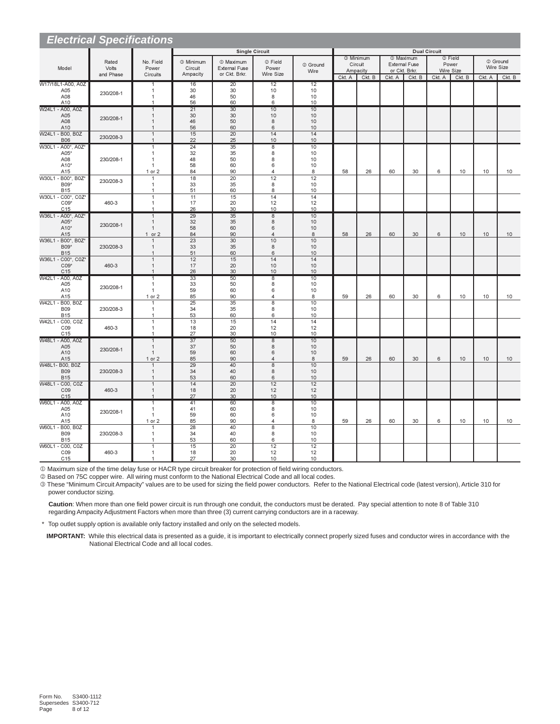| <b>Electrical Specifications</b>   |                    |                                  |                       |                                       |                         |                 |        |                                 |               |                                              |                     |                  |           |          |
|------------------------------------|--------------------|----------------------------------|-----------------------|---------------------------------------|-------------------------|-----------------|--------|---------------------------------|---------------|----------------------------------------------|---------------------|------------------|-----------|----------|
|                                    |                    |                                  |                       |                                       | <b>Single Circuit</b>   |                 |        |                                 |               |                                              | <b>Dual Circuit</b> |                  |           |          |
|                                    | Rated              | No. Field                        | <sup>3</sup> Minimum  | <sup>1</sup> Maximum                  | 2 Field                 | 2 Ground        |        | <sup>3</sup> Minimum<br>Circuit |               | <sup>1</sup> Maximum<br><b>External Fuse</b> |                     | © Field<br>Power |           | 2 Ground |
| Model                              | Volts<br>and Phase | Power<br>Circuits                | Circuit<br>Ampacity   | <b>External Fuse</b><br>or Ckt. Brkr. | Power<br>Wire Size      | Wire            |        | Ampacity                        | or Ckt. Brkr. |                                              | Wire Size           |                  | Wire Size |          |
|                                    |                    |                                  |                       |                                       |                         |                 | Ckt. A | Ckt. B                          | Ckt. A        | Ckt. B                                       | Ckt. A              | Ckt. B           | Ckt. A    | Ckt. B   |
| W17/18L1-A00, A0Z<br>A05           |                    | 1<br>$\mathbf{1}$                | 16<br>30              | 20<br>30                              | 12<br>10                | 12<br>10        |        |                                 |               |                                              |                     |                  |           |          |
| A08                                | 230/208-1          | $\mathbf{1}$                     | 46                    | 50                                    | 8                       | 10              |        |                                 |               |                                              |                     |                  |           |          |
| A10<br>W24L1 - A00, A0Z            |                    | 1                                | 56<br>21              | 60<br>30                              | 6<br>10                 | 10<br>10        |        |                                 |               |                                              |                     |                  |           |          |
| A05                                |                    | $\mathbf{1}$<br>$\mathbf{1}$     | 30                    | 30                                    | 10                      | 10              |        |                                 |               |                                              |                     |                  |           |          |
| A08                                | 230/208-1          | $\overline{1}$                   | 46                    | 50                                    | 8                       | 10              |        |                                 |               |                                              |                     |                  |           |          |
| A10<br>W24L1 - B00, B0Z            |                    | 1<br>$\mathbf{1}$                | 56<br>15              | 60<br>20                              | 6<br>14                 | 10<br>14        |        |                                 |               |                                              |                     |                  |           |          |
| <b>B06</b>                         | 230/208-3          | $\overline{1}$                   | 22                    | 25                                    | 10                      | 10              |        |                                 |               |                                              |                     |                  |           |          |
| W30L1 - A00*, A0Z*                 |                    | $\mathbf{1}$                     | $\overline{24}$       | $\overline{35}$                       | $\overline{8}$          | 10              |        |                                 |               |                                              |                     |                  |           |          |
| A05*<br>A08                        | 230/208-1          | $\mathbf{1}$<br>$\mathbf{1}$     | 32<br>48              | 35<br>50                              | 8<br>8                  | 10<br>10        |        |                                 |               |                                              |                     |                  |           |          |
| A10 <sup>*</sup>                   |                    | $\mathbf{1}$                     | 58                    | 60                                    | 6                       | 10              |        |                                 |               |                                              |                     |                  |           |          |
| A15<br>W30L1 - B00*, B0Z*          |                    | 1 or 2<br>$\overline{1}$         | 84<br>18              | 90<br>$\overline{20}$                 | $\overline{4}$<br>12    | 8<br>12         | 58     | 26                              | 60            | 30                                           | 6                   | 10               | 10        | 10       |
| B09*                               | 230/208-3          | $\mathbf{1}$                     | 33                    | 35                                    | 8                       | 10              |        |                                 |               |                                              |                     |                  |           |          |
| <b>B15</b>                         |                    | $\overline{1}$                   | 51                    | 60                                    | 8                       | 10              |        |                                 |               |                                              |                     |                  |           |          |
| W30L1 - C00*, C0Z*<br>$CO9*$       | 460-3              | $\overline{1}$<br>$\mathbf{1}$   | 11<br>17              | 15<br>20                              | 14<br>12                | 14<br>12        |        |                                 |               |                                              |                     |                  |           |          |
| C <sub>15</sub>                    |                    | $\overline{1}$                   | 26                    | 30                                    | 10                      | 10              |        |                                 |               |                                              |                     |                  |           |          |
| W36L1 - A00*, A0Z*                 |                    | $\overline{1}$                   | 29                    | 35                                    | $\overline{8}$          | 10              |        |                                 |               |                                              |                     |                  |           |          |
| A05'<br>A10*                       | 230/208-1          | $\mathbf{1}$<br>$\mathbf{1}$     | 32<br>58              | 35<br>60                              | 8<br>6                  | 10<br>10        |        |                                 |               |                                              |                     |                  |           |          |
| A15                                |                    | $1$ or $2$                       | 84                    | 90                                    | $\overline{4}$          | 8               | 58     | 26                              | 60            | 30                                           | 6                   | 10               | 10        | 10       |
| W36L1 - B00*, B0Z*<br>B09*         | 230/208-3          | $\overline{1}$                   | $\overline{23}$<br>33 | 30<br>35                              | 10<br>8                 | 10<br>10        |        |                                 |               |                                              |                     |                  |           |          |
| <b>B15</b>                         |                    | $\mathbf{1}$<br>$\overline{1}$   | 51                    | 60                                    | 6                       | 10              |        |                                 |               |                                              |                     |                  |           |          |
| W36L1 - C00*, C0Z*                 |                    | $\mathbf{1}$                     | 12                    | 15                                    | 14                      | 14              |        |                                 |               |                                              |                     |                  |           |          |
| $CO9*$<br>C <sub>15</sub>          | 460-3              | $\mathbf{1}$<br>$\mathbf{1}$     | 17<br>26              | 20<br>30                              | 10<br>10                | 10<br>10        |        |                                 |               |                                              |                     |                  |           |          |
| W42L1 - A00, A0Z                   |                    | $\overline{1}$                   | 33                    | 50                                    | $\overline{\mathbf{8}}$ | 10              |        |                                 |               |                                              |                     |                  |           |          |
| A05<br>A10                         | 230/208-1          | $\overline{1}$<br>$\mathbf{1}$   | 33<br>59              | 50<br>60                              | 8<br>6                  | 10<br>10        |        |                                 |               |                                              |                     |                  |           |          |
| A15                                |                    | 1 or 2                           | 85                    | 90                                    | $\overline{4}$          | 8               | 59     | 26                              | 60            | 30                                           | 6                   | 10               | 10        | 10       |
| W42L1 - B00, B0Z                   |                    | $\mathbf{1}$                     | $\overline{25}$       | 35                                    | 8                       | 10              |        |                                 |               |                                              |                     |                  |           |          |
| <b>B09</b><br><b>B15</b>           | 230/208-3          | $\mathbf{1}$<br>$\mathbf{1}$     | 34<br>53              | 35<br>60                              | 8<br>6                  | 10<br>10        |        |                                 |               |                                              |                     |                  |           |          |
| W42L1 - C00, C0Z                   |                    | $\mathbf{1}$                     | 13                    | 15                                    | 14                      | 14              |        |                                 |               |                                              |                     |                  |           |          |
| C <sub>09</sub><br>C <sub>15</sub> | 460-3              | $\mathbf{1}$                     | 18<br>27              | 20                                    | 12                      | 12              |        |                                 |               |                                              |                     |                  |           |          |
| W48L1 - A00, A0Z                   |                    | $\overline{1}$<br>$\mathbf{1}$   | 37                    | 30<br>50                              | 10<br>$\overline{8}$    | 10<br>10        |        |                                 |               |                                              |                     |                  |           |          |
| A05                                | 230/208-1          | $\mathbf{1}$                     | 37                    | 50                                    | 8                       | 10              |        |                                 |               |                                              |                     |                  |           |          |
| A10<br>A15                         |                    | $\mathbf{1}$<br>1 or 2           | 59<br>85              | 60<br>90                              | 6<br>$\overline{4}$     | 10<br>8         | 59     | 26                              | 60            | 30                                           | 6                   | 10               | 10        | 10       |
| W48L1- B00, B0Z                    |                    | $\mathbf{1}$                     | 29                    | 40                                    | $\overline{8}$          | $\overline{10}$ |        |                                 |               |                                              |                     |                  |           |          |
| <b>B09</b>                         | 230/208-3          | $\mathbf{1}$<br>$\mathbf{1}$     | 34                    | 40                                    | 8<br>6                  | 10              |        |                                 |               |                                              |                     |                  |           |          |
| <b>B15</b><br>W48L1 - C00, C0Z     |                    | $\mathbf{1}$                     | 53<br>14              | 60<br>20                              | 12                      | 10<br>12        |        |                                 |               |                                              |                     |                  |           |          |
| CO9                                | 460-3              | $\mathbf{1}$                     | 18                    | 20                                    | 12                      | 12              |        |                                 |               |                                              |                     |                  |           |          |
| C15<br>W60L1 - A00, A0Z            |                    | $\overline{1}$<br>$\overline{1}$ | 27<br>41              | 30<br>60                              | 10<br>$\overline{8}$    | 10<br>10        |        |                                 |               |                                              |                     |                  |           |          |
| A05                                | 230/208-1          | $\overline{1}$                   | 41                    | 60                                    | 8                       | 10              |        |                                 |               |                                              |                     |                  |           |          |
| A10                                |                    | $\mathbf{1}$                     | 59<br>85              | 60<br>90                              | 6<br>$\overline{4}$     | 10<br>8         | 59     | 26                              | 60            | 30                                           | 6                   | 10               | 10        | 10       |
| A15<br>W60L1 - B00, B0Z            |                    | 1 or 2<br>$\overline{1}$         | 28                    | 40                                    | 8                       | 10              |        |                                 |               |                                              |                     |                  |           |          |
| <b>B09</b>                         | 230/208-3          | $\mathbf{1}$                     | 34                    | 40                                    | 8                       | 10              |        |                                 |               |                                              |                     |                  |           |          |
| <b>B15</b><br>W60L1 - C00, C0Z     |                    | $\mathbf{1}$<br>$\mathbf{1}$     | 53<br>15              | 60<br>20                              | 6<br>12                 | 10<br>12        |        |                                 |               |                                              |                     |                  |           |          |
| C <sub>09</sub>                    | 460-3              | $\mathbf{1}$                     | 18                    | 20                                    | 12                      | 12              |        |                                 |               |                                              |                     |                  |           |          |
| C <sub>15</sub>                    |                    | 1                                | 27                    | 30                                    | 10                      | 10              |        |                                 |               |                                              |                     |                  |           |          |

Maximum size of the time delay fuse or HACR type circuit breaker for protection of field wiring conductors.

Based on 75C copper wire. All wiring must conform to the National Electrical Code and all local codes.

 These "Minimum Circuit Ampacity" values are to be used for sizing the field power conductors. Refer to the National Electrical code (latest version), Article 310 for power conductor sizing.

**Caution**: When more than one field power circuit is run through one conduit, the conductors must be derated. Pay special attention to note 8 of Table 310 regarding Ampacity Adjustment Factors when more than three (3) current carrying conductors are in a raceway.

\* Top outlet supply option is available only factory installed and only on the selected models.

 **IMPORTANT:** While this electrical data is presented as a guide, it is important to electrically connect properly sized fuses and conductor wires in accordance with the National Electrical Code and all local codes.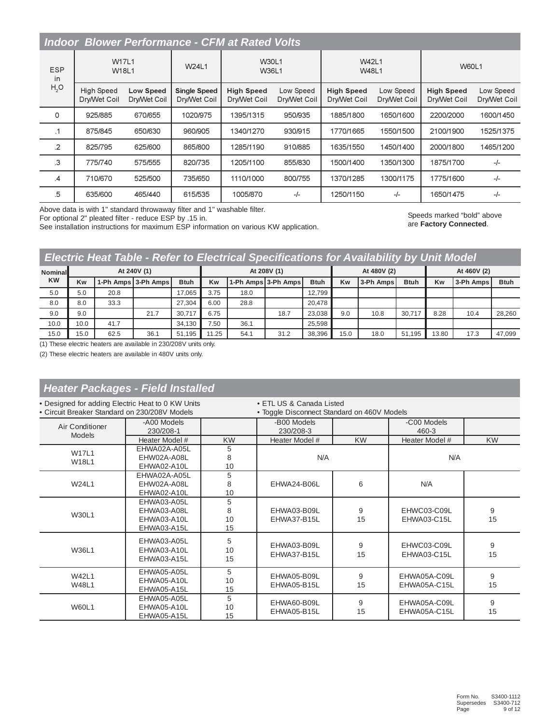|                  |                                   |                                  |                                     | <b>Indoor Blower Performance - CFM at Rated Volts</b> |                           |                                   |                           |                                   |                           |
|------------------|-----------------------------------|----------------------------------|-------------------------------------|-------------------------------------------------------|---------------------------|-----------------------------------|---------------------------|-----------------------------------|---------------------------|
| <b>ESP</b><br>in | <b>W17L1</b>                      | <b>W18L1</b>                     | W24L1                               | <b>W30L1</b><br>W36L1                                 |                           | <b>W42L1</b><br><b>W48L1</b>      |                           | <b>W60L1</b>                      |                           |
| H <sub>2</sub> O | <b>High Speed</b><br>Dry/Wet Coil | <b>Low Speed</b><br>Dry/Wet Coil | <b>Single Speed</b><br>Dry/Wet Coil | <b>High Speed</b><br>Dry/Wet Coil                     | Low Speed<br>Dry/Wet Coil | <b>High Speed</b><br>Dry/Wet Coil | Low Speed<br>Dry/Wet Coil | <b>High Speed</b><br>Dry/Wet Coil | Low Speed<br>Dry/Wet Coil |
| 0                | 925/885                           | 670/655                          | 1020/975                            | 1395/1315                                             | 950/935                   | 1885/1800                         | 1650/1600                 | 2200/2000                         | 1600/1450                 |
| $\cdot$ 1        | 875/845                           | 650/630                          | 960/905                             | 1340/1270                                             | 930/915                   | 1770/1665                         | 1550/1500                 | 2100/1900                         | 1525/1375                 |
| $\overline{2}$   | 825/795                           | 625/600                          | 865/800                             | 1285/1190                                             | 910/885                   | 1635/1550                         | 1450/1400                 | 2000/1800                         | 1465/1200                 |
| $\mathbf{3}$     | 775/740                           | 575/555                          | 820/735                             | 1205/1100                                             | 855/830                   | 1500/1400                         | 1350/1300                 | 1875/1700                         | $-/-$                     |
| $\mathcal{A}$    | 710/670                           | 525/500                          | 735/650                             | 1110/1000                                             | 800/755                   | 1370/1285                         | 1300/1175                 | 1775/1600                         | $-/-$                     |
| .5               | 635/600                           | 465/440                          | 615/535                             | 1005/870                                              | -/-                       | 1250/1150                         | $-/-$                     | 1650/1475                         | $-/-$                     |

Above data is with 1" standard throwaway filter and 1" washable filter. For optional 2" pleated filter - reduce ESP by .15 in.

See installation instructions for maximum ESP information on various KW application.

Speeds marked "bold" above are **Factory Connected**.

# *Electric Heat Table - Refer to Electrical Specifications for Availability by Unit Model*

| <b>Nominal</b><br><b>KW</b> |      |                     | At 240V (1) |             |       |      | At 208V (1)         |             |           | At 480V (2)                  |        | At 460V (2) |           |             |  |
|-----------------------------|------|---------------------|-------------|-------------|-------|------|---------------------|-------------|-----------|------------------------------|--------|-------------|-----------|-------------|--|
|                             | Kw   | 1-Ph Amps 3-Ph Amps |             | <b>Btuh</b> | Kw    |      | 1-Ph Amps 3-Ph Amps | <b>Btuh</b> | <b>Kw</b> | <b>Btuh</b><br>l 3-Ph Amps l |        | Kw          | 3-Ph Amps | <b>Btuh</b> |  |
| 5.0                         | 5.0  | 20.8                |             | 17.065      | 3.75  | 18.0 |                     | 12.799      |           |                              |        |             |           |             |  |
| 8.0                         | 8.0  | 33.3                |             | 27.304      | 6.00  | 28.8 |                     | 20.478      |           |                              |        |             |           |             |  |
| 9.0                         | 9.0  |                     | 21.7        | 30.717      | 6.75  |      | 18.7                | 23.038      | 9.0       | 10.8                         | 30.717 | 8.28        | 10.4      | 28,260      |  |
| 10.0                        | 10.0 | 41.7                |             | 34.130      | 7.50  | 36.1 |                     | 25.598      |           |                              |        |             |           |             |  |
| 15.0                        | 15.0 | 62.5                | 36.1        | 51.195      | 11.25 | 54.1 | 31.2                | 38,396      | 15.0      | 18.0                         | 51.195 | 13.80       | 17.3      | 47.099      |  |

(1) These electric heaters are available in 230/208V units only.

(2) These electric heaters are available in 480V units only.

# *Heater Packages - Field Installed*

| . Designed for adding Electric Heat to 0 KW Units<br>• Circuit Breaker Standard on 230/208V Models |                                           |               | • ETL US & Canada Listed<br>• Toggle Disconnect Standard on 460V Models |           |                              |           |  |  |  |  |
|----------------------------------------------------------------------------------------------------|-------------------------------------------|---------------|-------------------------------------------------------------------------|-----------|------------------------------|-----------|--|--|--|--|
| Air Conditioner<br><b>Models</b>                                                                   | -A00 Models<br>230/208-1                  |               | -B00 Models<br>230/208-3                                                |           | -C00 Models<br>460-3         |           |  |  |  |  |
|                                                                                                    | Heater Model #                            | <b>KW</b>     | Heater Model #                                                          | <b>KW</b> | Heater Model #               | <b>KW</b> |  |  |  |  |
| <b>W17L1</b>                                                                                       | EHWA02A-A05L                              | 5             |                                                                         |           |                              |           |  |  |  |  |
| <b>W18L1</b>                                                                                       | EHW02A-A08L                               | 8             | N/A                                                                     |           | N/A                          |           |  |  |  |  |
|                                                                                                    | EHWA02-A10L                               | 10            |                                                                         |           |                              |           |  |  |  |  |
|                                                                                                    | EHWA02A-A05L                              | 5             |                                                                         |           |                              |           |  |  |  |  |
| W24L1                                                                                              | EHW02A-A08L                               | 8             | EHWA24-B06L                                                             | 6         | N/A                          |           |  |  |  |  |
|                                                                                                    | EHWA02-A10L                               | 10            |                                                                         |           |                              |           |  |  |  |  |
|                                                                                                    | EHWA03-A05L                               | 5             |                                                                         |           |                              |           |  |  |  |  |
| W30L1                                                                                              | EHWA03-A08L                               | 8             | EHWA03-B09L                                                             | 9         | EHWC03-C09L                  | 9         |  |  |  |  |
|                                                                                                    | EHWA03-A10L                               | 10            | EHWA37-B15L                                                             | 15        | EHWA03-C15L                  | 15        |  |  |  |  |
|                                                                                                    | EHWA03-A15L                               | 15            |                                                                         |           |                              |           |  |  |  |  |
| W36L1                                                                                              | EHWA03-A05L<br>EHWA03-A10L<br>EHWA03-A15L | 5<br>10<br>15 | EHWA03-B09L<br>EHWA37-B15L                                              | 9<br>15   | EHWC03-C09L<br>EHWA03-C15L   | 9<br>15   |  |  |  |  |
| <b>W42L1</b>                                                                                       | EHWA05-A05L                               | 5             | EHWA05-B09L                                                             | 9         | EHWA05A-C09L                 | 9         |  |  |  |  |
| <b>W48L1</b>                                                                                       | EHWA05-A10L                               | 10            | EHWA05-B15L                                                             | 15        | EHWA05A-C15L                 | 15        |  |  |  |  |
|                                                                                                    | EHWA05-A15L                               | 15            |                                                                         |           |                              |           |  |  |  |  |
| <b>W60L1</b>                                                                                       | EHWA05-A05L<br>EHWA05-A10L<br>EHWA05-A15L | 5<br>10<br>15 | EHWA60-B09L<br>EHWA05-B15L                                              | 9<br>15   | EHWA05A-C09L<br>EHWA05A-C15L | 9<br>15   |  |  |  |  |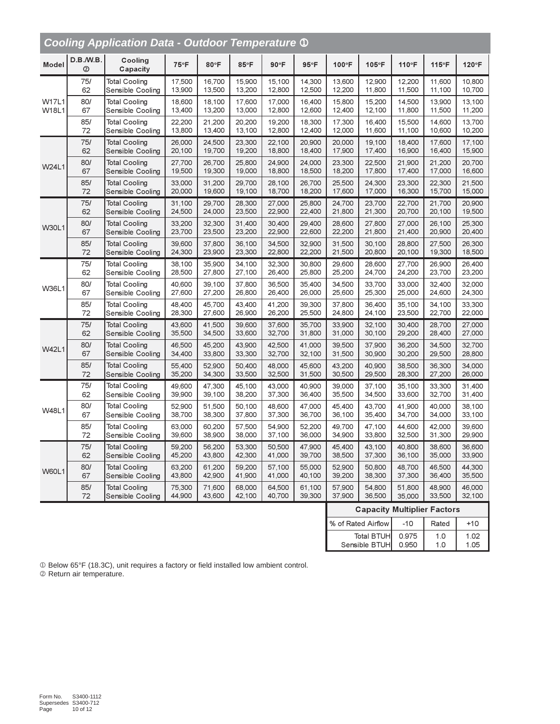|                                              |                          | <b>Cooling Application Data - Outdoor Temperature 1</b> |                  |                  |                  |                  |                  |                  |                                    |                  |                  |                  |
|----------------------------------------------|--------------------------|---------------------------------------------------------|------------------|------------------|------------------|------------------|------------------|------------------|------------------------------------|------------------|------------------|------------------|
| Model                                        | D.B./W.B.<br>$\circledR$ | Cooling<br>Capacity                                     | $75^{\circ}F$    | 80°F             | 85°F             | 90°F             | $95^{\circ}F$    | 100°F            | 105°F                              | 110°F            | 115°F            | 120°F            |
|                                              | 75/                      | <b>Total Cooling</b>                                    | 17,500           | 16,700           | 15,900           | 15.100           | 14,300           | 13,600           | 12,900                             | 12,200           | 11,600           | 10,800           |
|                                              | 62                       | Sensible Cooling                                        | 13,900           | 13,500           | 13,200           | 12,800           | 12,500           | 12,200           | 11,800                             | 11,500           | 11,100           | 10,700           |
| <b>W17L1</b>                                 | 80/                      | <b>Total Cooling</b>                                    | 18,600           | 18,100           | 17,600           | 17,000           | 16,400           | 15,800           | 15,200                             | 14,500           | 13,900           | 13,100           |
| W18L1                                        | 67                       | Sensible Cooling                                        | 13,400           | 13,200           | 13,000           | 12,800           | 12,600           | 12,400           | 12,100                             | 11,800           | 11,500           | 11,200           |
|                                              | 85/                      | <b>Total Cooling</b>                                    | 22,200           | 21,200           | 20,200           | 19,200           | 18,300           | 17,300           | 16,400                             | 15,500           | 14.600           | 13,700           |
|                                              | 72                       | Sensible Cooling                                        | 13,800           | 13,400           | 13,100           | 12,800           | 12,400           | 12,000           | 11,600                             | 11,100           | 10,600           | 10,200           |
|                                              | 75/                      | <b>Total Cooling</b>                                    | 26,000           | 24,500           | 23,300           | 22,100           | 20,900           | 20,000           | 19,100                             | 18,400           | 17,600           | 17,100           |
|                                              | 62                       | Sensible Cooling                                        | 20,100           | 19,700           | 19,200           | 18,800           | 18,400           | 17,900           | 17,400                             | 16,900           | 16,400           | 15,900           |
| W24L1                                        | 80/                      | <b>Total Cooling</b>                                    | 27,700           | 26,700           | 25,800           | 24,900           | 24,000           | 23,300           | 22,500                             | 21,900           | 21,200           | 20,700           |
|                                              | 67                       | Sensible Cooling                                        | 19,500           | 19,300           | 19,000           | 18,800           | 18,500           | 18,200           | 17,800                             | 17,400           | 17,000           | 16,600           |
|                                              | 85/                      | <b>Total Cooling</b>                                    | 33,000           | 31,200           | 29,700           | 28,100           | 26,700           | 25,500           | 24,300                             | 23,300           | 22,300           | 21,500           |
|                                              | 72                       | Sensible Cooling                                        | 20,000           | 19,600           | 19,100           | 18,700           | 18,200           | 17,600           | 17,000                             | 16,300           | 15,700           | 15,000           |
|                                              | 75/                      | <b>Total Cooling</b>                                    | 31,100           | 29,700           | 28,300           | 27,000           | 25,800           | 24,700           | 23,700                             | 22,700           | 21,700           | 20,900           |
|                                              | 62                       | Sensible Cooling                                        | 24,500           | 24,000           | 23,500           | 22,900           | 22,400           | 21,800           | 21,300                             | 20,700           | 20,100           | 19,500           |
| <b>W30L1</b>                                 | 80/                      | <b>Total Cooling</b>                                    | 33,200           | 32,300           | 31,400           | 30,400           | 29,400           | 28,600           | 27,800                             | 27,000           | 26,100           | 25,300           |
|                                              | 67                       | Sensible Cooling                                        | 23,700           | 23,500           | 23,200           | 22,900           | 22,600           | 22,200           | 21,800                             | 21,400           | 20,900           | 20,400           |
|                                              | 85/                      | <b>Total Cooling</b>                                    | 39,600           | 37,800           | 36,100           | 34,500           | 32,900           | 31,500           | 30,100                             | 28,800           | 27,500           | 26,300           |
|                                              | 72                       | Sensible Cooling                                        | 24,300           | 23,900           | 23,300           | 22,800           | 22,200           | 21,500           | 20,800                             | 20,100           | 19,300           | 18,500           |
|                                              | 75/                      | <b>Total Cooling</b>                                    | 38,100           | 35,900           | 34,100           | 32,300           | 30,800           | 29.600           | 28,600                             | 27,700           | 26,900           | 26,400           |
|                                              | 62                       | Sensible Cooling                                        | 28,500           | 27,800           | 27,100           | 26,400           | 25,800           | 25,200           | 24,700                             | 24,200           | 23,700           | 23,200           |
| <b>W36L1</b>                                 | 80/                      | <b>Total Cooling</b>                                    | 40,600           | 39,100           | 37,800           | 36,500           | 35,400           | 34,500           | 33.700                             | 33,000           | 32,400           | 32,000           |
|                                              | 67                       | Sensible Cooling                                        | 27,600           | 27,200           | 26,800           | 26,400           | 26,000           | 25,600           | 25,300                             | 25,000           | 24,600           | 24,300           |
| <b>W42L1</b><br><b>W48L1</b><br><b>W60L1</b> | 85/<br>72                | <b>Total Cooling</b><br>Sensible Cooling                | 48,400<br>28,300 | 45,700<br>27,600 | 43,400<br>26,900 | 41,200<br>26,200 | 39,300<br>25,500 | 37,800<br>24,800 | 36,400<br>24,100                   | 35,100<br>23,500 | 34,100<br>22,700 | 33,300<br>22,000 |
|                                              | 75/                      | <b>Total Cooling</b>                                    | 43,600           | 41,500           | 39,600           | 37,600           | 35,700           | 33,900           | 32,100                             | 30,400           | 28,700           | 27,000           |
|                                              | 62                       | Sensible Cooling                                        | 35,500           | 34,500           | 33,600           | 32,700           | 31,800           | 31,000           | 30,100                             | 29,200           | 28,400           | 27,000           |
|                                              | 80/                      | <b>Total Cooling</b>                                    | 46,500           | 45,200           | 43,900           | 42,500           | 41,000           | 39,500           | 37,900                             | 36,200           | 34,500           | 32,700           |
|                                              | 67                       | Sensible Cooling                                        | 34,400           | 33,800           | 33,300           | 32,700           | 32,100           | 31,500           | 30,900                             | 30,200           | 29,500           | 28,800           |
|                                              | 85/                      | <b>Total Cooling</b>                                    | 55,400           | 52,900           | 50,400           | 48,000           | 45,600           | 43,200           | 40,900                             | 38,500           | 36,300           | 34,000           |
|                                              | 72                       | Sensible Cooling                                        | 35,200           | 34,300           | 33,500           | 32,500           | 31,500           | 30,500           | 29,500                             | 28,300           | 27,200           | 26,000           |
|                                              | 75/                      | <b>Total Cooling</b>                                    | 49,600           | 47,300           | 45,100           | 43,000           | 40,900           | 39,000           | 37,100                             | 35,100           | 33,300           | 31,400           |
|                                              | 62                       | Sensible Cooling                                        | 39,900           | 39,100           | 38,200           | 37,300           | 36,400           | 35,500           | 34,500                             | 33,600           | 32,700           | 31,400           |
|                                              | 80/                      | <b>Total Cooling</b>                                    | 52,900           | 51,500           | 50,100           | 48,600           | 47,000           | 45,400           | 43,700                             | 41,900           | 40,000           | 38,100           |
|                                              | 67                       | Sensible Cooling                                        | 38,700           | 38,300           | 37,800           | 37,300           | 36,700           | 36,100           | 35,400                             | 34,700           | 34,000           | 33,100           |
|                                              | 85/                      | <b>Total Cooling</b>                                    | 63,000           | 60,200           | 57.500           | 54,900           | 52,200           | 49,700           | 47,100                             | 44,600           | 42,000           | 39,600           |
|                                              | 72                       | Sensible Cooling                                        | 39,600           | 38,900           | 38,000           | 37,100           | 36,000           | 34,900           | 33,800                             | 32,500           | 31,300           | 29,900           |
|                                              | 75/                      | <b>Total Cooling</b>                                    | 59,200           | 56,200           | 53,300           | 50,500           | 47,900           | 45,400           | 43,100                             | 40,800           | 38,600           | 36,600           |
|                                              | 62                       | Sensible Cooling                                        | 45,200           | 43,800           | 42,300           | 41,000           | 39,700           | 38,500           | 37,300                             | 36,100           | 35,000           | 33,900           |
|                                              | 80/                      | <b>Total Cooling</b>                                    | 63,200           | 61,200           | 59,200           | 57,100           | 55,000           | 52,900           | 50,800                             | 48,700           | 46,500           | 44,300           |
|                                              | 67                       | Sensible Cooling                                        | 43,800           | 42,900           | 41,900           | 41,000           | 40,100           | 39,200           | 38,300                             | 37,300           | 36,400           | 35,500           |
|                                              | 85/                      | <b>Total Cooling</b>                                    | 75,300           | 71,600           | 68,000           | 64,500           | 61,100           | 57,900           | 54,800                             | 51,800           | 48,900           | 46,000           |
|                                              | 72                       | Sensible Cooling                                        | 44,900           | 43,600           | 42,100           | 40,700           | 39,300           | 37,900           | 36,500                             | 35,000           | 33,500           | 32,100           |
|                                              |                          |                                                         |                  |                  |                  |                  |                  |                  | <b>Capacity Multiplier Factors</b> |                  |                  |                  |
|                                              |                          |                                                         |                  |                  |                  |                  |                  |                  | % of Rated Airflow                 | $-10$            | Rated            | $+10$            |

Total BTUH Sensible BTUH 0.975 0.950 0.1  $1.0$ 

1.02  $1.05$ 

|  | 10 Below 65°F (18.3C), unit requires a factory or field installed low ambient control. |  |
|--|----------------------------------------------------------------------------------------|--|
|  |                                                                                        |  |

2 Return air temperature.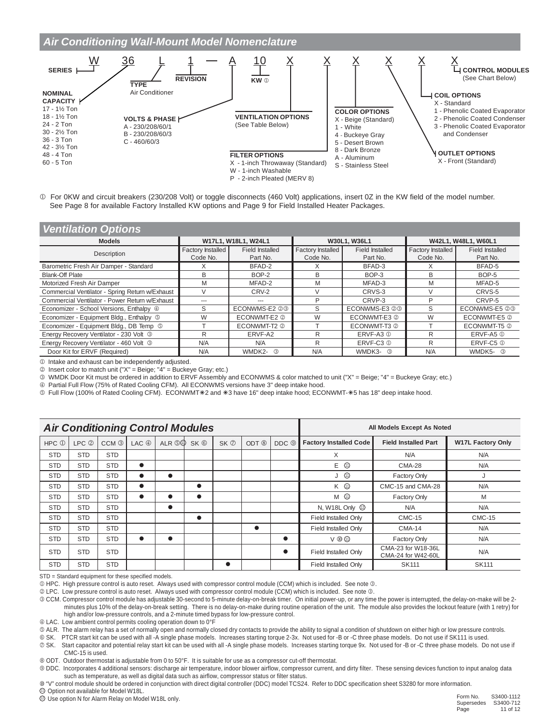

10 For 0KW and circuit breakers (230/208 Volt) or toggle disconnects (460 Volt) applications, insert 0Z in the KW field of the model number. See Page 8 for available Factory Installed KW options and Page 9 for Field Installed Heater Packages.

| <b>Ventilation Options</b> |  |
|----------------------------|--|
|----------------------------|--|

| <b>Models</b>                                   |                   | W17L1, W18L1, W24L1 |                   | W30L1, W36L1           | W42L1, W48L1, W60L1 |                        |  |  |
|-------------------------------------------------|-------------------|---------------------|-------------------|------------------------|---------------------|------------------------|--|--|
| Description                                     | Factory Installed | Field Installed     | Factory Installed | <b>Field Installed</b> | Factory Installed   | <b>Field Installed</b> |  |  |
|                                                 | Code No.          | Part No.            | Code No.          | Part No.               | Code No.            | Part No.               |  |  |
| Barometric Fresh Air Damper - Standard          |                   | BFAD-2              |                   | BFAD-3                 |                     | BFAD-5                 |  |  |
| <b>Blank-Off Plate</b>                          | B                 | BOP-2               | <sub>B</sub>      | BOP-3                  | <sub>R</sub>        | BOP-5                  |  |  |
| Motorized Fresh Air Damper                      | M                 | MFAD-2              | M                 | MFAD-3                 | M                   | MFAD-5                 |  |  |
| Commercial Ventilator - Spring Return w/Exhaust | $\vee$            | CRV-2               |                   | CRVS-3                 |                     | CRVS-5                 |  |  |
| Commercial Ventilator - Power Return w/Exhaust  | ---               | ---                 | P                 | CRVP-3                 | D                   | CRVP-5                 |  |  |
| Economizer - School Versions, Enthalpy 4        | S                 | ECONWMS-E2 23       | S                 | ECONWMS-E3 @3          | S                   | ECONWMS-E5 @3          |  |  |
| Economizer - Equipment Bldg., Enthalpy 5        | W                 | ECONWMT-E2 2        | W                 | ECONWMT-E3 2           | W                   | ECONWMT-E5 2           |  |  |
| Economizer - Equipment Bldg., DB Temp 5         |                   | ECONWMT-T2 2        |                   | ECONWMT-T3 2           |                     | ECONWMT-T5 2           |  |  |
| Energy Recovery Ventilator - 230 Volt 3         | R                 | ERVF-A2             | R                 | $ERVF-AA3$ $@$         | R                   | $ERVF-AS$ $@$          |  |  |
| Energy Recovery Ventilator - 460 Volt 3         | N/A               | N/A                 | R                 | ERVF-C3 <sup>1</sup>   | R                   | ERVF-C5 <sup>1</sup>   |  |  |
| Door Kit for ERVF (Required)                    | N/A               | WMDK2- 3            | N/A               | WMDK3- 3               | N/A                 | WMDK5- 3               |  |  |

1 Intake and exhaust can be independently adjusted.

2 Insert color to match unit ("X" = Beige; "4" = Buckeye Gray; etc.)

3 WMDK Door Kit must be ordered in addition to ERVF Assembly and ECONWMS & color matched to unit ("X" = Beige; "4" = Buckeye Gray; etc.)

4 Partial Full Flow (75% of Rated Cooling CFM). All ECONWMS versions have 3" deep intake hood.

© Full Flow (100% of Rated Cooling CFM). ECONWMT\*2 and \*3 have 16" deep intake hood; ECONWMT-\*5 has 18" deep intake hood.

|                  |                  |                  |           | <b>Air Conditioning Control Modules</b> |                 |                 |                  |                    | All Models Except As Noted    |                                          |                          |  |  |  |  |
|------------------|------------------|------------------|-----------|-----------------------------------------|-----------------|-----------------|------------------|--------------------|-------------------------------|------------------------------------------|--------------------------|--|--|--|--|
| HPC <sup>1</sup> | LPC <sup>2</sup> | CCM <sup>3</sup> | LAC 4     | ALR <b>O</b>                            | SK <sup>6</sup> | SK <sub>0</sub> | ODT <sup>®</sup> | DDC <sup>(0)</sup> | <b>Factory Installed Code</b> | <b>Field Installed Part</b>              | <b>W17L Factory Only</b> |  |  |  |  |
| <b>STD</b>       | <b>STD</b>       | <b>STD</b>       |           |                                         |                 |                 |                  |                    | X                             | N/A                                      | N/A                      |  |  |  |  |
| <b>STD</b>       | <b>STD</b>       | <b>STD</b>       | $\bullet$ |                                         |                 |                 |                  |                    | E ①                           | <b>CMA-28</b>                            | N/A                      |  |  |  |  |
| <b>STD</b>       | <b>STD</b>       | <b>STD</b>       | $\bullet$ | $\bullet$                               |                 |                 |                  |                    | J ①                           | Factory Only                             |                          |  |  |  |  |
| <b>STD</b>       | <b>STD</b>       | <b>STD</b>       | $\bullet$ |                                         | $\bullet$       |                 |                  |                    | K 1                           | CMC-15 and CMA-28                        | N/A                      |  |  |  |  |
| <b>STD</b>       | <b>STD</b>       | <b>STD</b>       | $\bullet$ |                                         | $\bullet$       |                 |                  |                    | M <sup>1</sup>                | Factory Only                             | M                        |  |  |  |  |
| <b>STD</b>       | <b>STD</b>       | <b>STD</b>       |           | $\bullet$                               |                 |                 |                  |                    | N, W18L Only <sup>(2)</sup>   | N/A                                      | N/A                      |  |  |  |  |
| <b>STD</b>       | <b>STD</b>       | <b>STD</b>       |           |                                         | $\bullet$       |                 |                  |                    | Field Installed Only          | <b>CMC-15</b>                            | <b>CMC-15</b>            |  |  |  |  |
| <b>STD</b>       | <b>STD</b>       | <b>STD</b>       |           |                                         |                 |                 |                  |                    | Field Installed Only          | <b>CMA-14</b>                            | N/A                      |  |  |  |  |
| <b>STD</b>       | <b>STD</b>       | <b>STD</b>       | $\bullet$ | $\bullet$                               |                 |                 |                  |                    | $V \circledcirc \circledcirc$ | Factory Only                             | N/A                      |  |  |  |  |
| <b>STD</b>       | <b>STD</b>       | <b>STD</b>       |           |                                         |                 |                 |                  |                    | Field Installed Only          | CMA-23 for W18-36L<br>CMA-24 for W42-60L | N/A                      |  |  |  |  |
| <b>STD</b>       | <b>STD</b>       | <b>STD</b>       |           |                                         |                 |                 |                  |                    | Field Installed Only          | <b>SK111</b>                             | <b>SK111</b>             |  |  |  |  |

STD = Standard equipment for these specified models.

10 HPC. High pressure control is auto reset. Always used with compressor control module (CCM) which is included. See note 3.

@ LPC. Low pressure control is auto reset. Always used with compressor control module (CCM) which is included. See note 3.

© CCM. Compressor control module has adjustable 30-second to 5-minute delay-on-break timer. On initial power-up, or any time the power is interrupted, the delay-on-make will be 2minutes plus 10% of the delay-on-break setting. There is no delay-on-make during routine operation of the unit. The module also provides the lockout feature (with 1 retry) for high and/or low-pressure controls, and a 2-minute timed bypass for low-pressure control.

4 LAC. Low ambient control permits cooling operation down to 0°F

© ALR. The alarm relay has a set of normally open and normally closed dry contacts to provide the ability to signal a condition of shutdown on either high or low pressure controls.

6 SK. PTCR start kit can be used with all -A single phase models. Increases starting torque 2-3x. Not used for -B or -C three phase models. Do not use if SK111 is used.

Start capacitor and potential relay start kit can be used with all -A single phase models. Increases starting torque 9x. Not used for -B or -C three phase models. Do not use if 2 SK. CMC-15 is used.

® ODT. Outdoor thermostat is adjustable from 0 to 50°F. It is suitable for use as a compressor cut-off thermostat.

® DDC. Incorporates 4 additional sensors: discharge air temperature, indoor blower airflow, compressor current, and dirty filter. These sensing devices function to input analog data such as temperature, as well as digital data such as airflow, compressor status or filter status.

® "V" control module should be ordered in conjunction with direct digital controller (DDC) model TCS24. Refer to DDC specification sheet S3280 for more information.

**10 Option not available for Model W18L.** 

2 Use option N for Alarm Relay on Model W18L only.